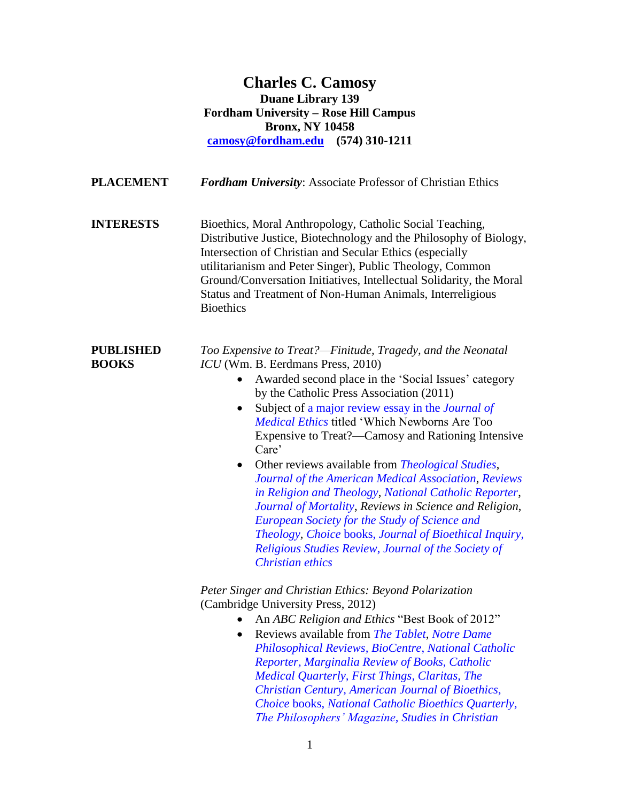**Charles C. Camosy Duane Library 139 Fordham University – Rose Hill Campus Bronx, NY 10458 [camosy@fordham.edu](mailto:camosy@fordham.edu) (574) 310-1211**

**PLACEMENT** *Fordham University*: Associate Professor of Christian Ethics

**INTERESTS** Bioethics, Moral Anthropology, Catholic Social Teaching, Distributive Justice, Biotechnology and the Philosophy of Biology, Intersection of Christian and Secular Ethics (especially utilitarianism and Peter Singer), Public Theology, Common Ground/Conversation Initiatives, Intellectual Solidarity, the Moral Status and Treatment of Non-Human Animals, Interreligious **Bioethics** 

**PUBLISHED** *Too Expensive to Treat?—Finitude, Tragedy, and the Neonatal* **BOOKS** *ICU* (Wm. B. Eerdmans Press, 2010)

- Awarded second place in the 'Social Issues' category by the Catholic Press Association (2011)
- Subject of [a major review essay in the](http://jme.bmj.com/content/early/2013/01/25/medethics-2012-100745.short?rss=1) *Journal of [Medical Ethics](http://jme.bmj.com/content/early/2013/01/25/medethics-2012-100745.short?rss=1)* titled 'Which Newborns Are Too Expensive to Treat?—Camosy and Rationing Intensive Care'
- Other reviews available from *[Theological Studies](http://onlinedigeditions.com/publication/login.php?i=&m=21441&l=1&p=)*, *[Journal of the American Medical Association](http://jama.ama-assn.org/content/306/22/2510.full?sid=c71f38ed-ce58-46f7-8c0e-456ddcd5d042)*, *[Reviews](http://onlinelibrary.wiley.com/doi/10.1111/rirt.12008/pdf)  [in Religion and Theology](http://onlinelibrary.wiley.com/doi/10.1111/rirt.12008/pdf)*, *[National Catholic Reporter](http://ncronline.org/blogs/distinctly-catholic/complexity-morality-neonatal-unit)*, *[Journal of Mortality](http://www.tandfonline.com/doi/abs/10.1080/13576275.2012.699339)*, *Reviews in Science and Religion*, *[European Society for the Study of Science and](http://www.esssat.org/index.php?option=com_content&task=category§ionid=9&id=14&Itemid=38)  [Theology,](http://www.esssat.org/index.php?option=com_content&task=category§ionid=9&id=14&Itemid=38) [Choice](http://avoserv.library.fordham.edu/login?url=http://search.proquest.com/docview/899222123?accountid=10932)* books, *[Journal of Bioethical Inquiry,](http://link.springer.com/article/10.1007/s11673-013-9433-z) [Religious Studies Review](http://onlinelibrary.wiley.com.avoserv.library.fordham.edu/enhanced/doi/10.1111/rsr.12126_2/?isReportingDone=true)*, *[Journal of the Society of](http://muse.jhu.edu/login?auth=0&type=summary&url=/journals/journal_of_the_society_of_christian_ethics/v034/34.2.ridenour.pdf)  [Christian ethics](http://muse.jhu.edu/login?auth=0&type=summary&url=/journals/journal_of_the_society_of_christian_ethics/v034/34.2.ridenour.pdf)*

*Peter Singer and Christian Ethics: Beyond Polarization* (Cambridge University Press, 2012)

- An *ABC Religion and Ethics* "Best Book of 2012"
- Reviews available from *[The Tablet](http://www.thetablet.co.uk/issue/1000327/booksandart)*, *[Notre Dame](http://ndpr.nd.edu/news/35572-peter-singer-and-christian-ethics-beyond-polarization/)  [Philosophical Reviews,](http://ndpr.nd.edu/news/35572-peter-singer-and-christian-ethics-beyond-polarization/) [BioCentre](http://www.bioethics.ac.uk/news/Peter-Singer-and-Christian-Ethics-Beyond-Polarization.php)*, *[National Catholic](http://ncronline.org/blogs/distinctly-catholic/peter-singer-christian-ethics)  [Reporter,](http://ncronline.org/blogs/distinctly-catholic/peter-singer-christian-ethics) [Marginalia Review of Books,](http://themarginaliareview.com/archives/864) [Catholic](http://www.cmq.org.uk/Book-Reviews/Singer-and-Christian-ethics.html)  [Medical Quarterly,](http://www.cmq.org.uk/Book-Reviews/Singer-and-Christian-ethics.html) [First Things,](http://www.firstthings.com/article/2012/12/utilityrsquos-deceptions) [Claritas,](http://docs.lib.purdue.edu/claritas/vol1/iss2/7/) [The](http://www.christiancentury.org/reviews/2012-12/peter-singer-and-christian-ethicsnbspby-charles-c-camosy)  [Christian Century,](http://www.christiancentury.org/reviews/2012-12/peter-singer-and-christian-ethicsnbspby-charles-c-camosy) [American Journal of Bioethics](http://www.tandfonline.com/doi/abs/10.1080/15265161.2012.739395)*, *[Choice](http://www.cro2.org/default.aspx?page=reviewdisplay&pid=3806275)* books, *[National Catholic Bioethics Quarterly,](http://ehis.ebscohost.com/eds/pdfviewer/pdfviewer?vid=2&sid=6f76f8a9-73d1-4c65-be43-e27f5c8009ad%40sessionmgr115&hid=106) [The Philosophers' Magazine,](http://www.pdcnet.org/tpm/content/tpm_2013_0062_0122_0123) [Studies in](http://sce.sagepub.com/content/26/2/227.full.pdf+html) Christian*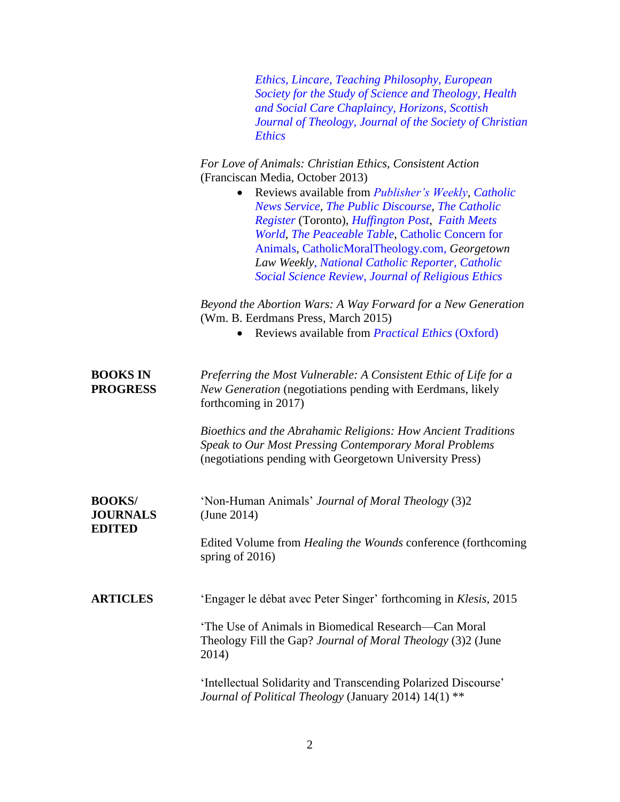|                                                   | Ethics, Lincare, Teaching Philosophy, European<br>Society for the Study of Science and Theology, Health<br>and Social Care Chaplaincy, Horizons, Scottish<br>Journal of Theology, Journal of the Society of Christian<br><b>Ethics</b>                                                                                                                                              |
|---------------------------------------------------|-------------------------------------------------------------------------------------------------------------------------------------------------------------------------------------------------------------------------------------------------------------------------------------------------------------------------------------------------------------------------------------|
|                                                   | For Love of Animals: Christian Ethics, Consistent Action<br>(Franciscan Media, October 2013)                                                                                                                                                                                                                                                                                        |
|                                                   | Reviews available from <i>Publisher's Weekly</i> , Catholic<br>News Service, The Public Discourse, The Catholic<br>Register (Toronto), Huffington Post, Faith Meets<br>World, The Peaceable Table, Catholic Concern for<br>Animals, CatholicMoralTheology.com, Georgetown<br>Law Weekly, National Catholic Reporter, Catholic<br>Social Science Review, Journal of Religious Ethics |
|                                                   | Beyond the Abortion Wars: A Way Forward for a New Generation<br>(Wm. B. Eerdmans Press, March 2015)<br>Reviews available from <i>Practical Ethics</i> (Oxford)                                                                                                                                                                                                                      |
|                                                   |                                                                                                                                                                                                                                                                                                                                                                                     |
| <b>BOOKS IN</b><br><b>PROGRESS</b>                | Preferring the Most Vulnerable: A Consistent Ethic of Life for a<br>New Generation (negotiations pending with Eerdmans, likely<br>forthcoming in 2017)                                                                                                                                                                                                                              |
|                                                   | Bioethics and the Abrahamic Religions: How Ancient Traditions<br>Speak to Our Most Pressing Contemporary Moral Problems<br>(negotiations pending with Georgetown University Press)                                                                                                                                                                                                  |
| <b>BOOKS/</b><br><b>JOURNALS</b><br><b>EDITED</b> | 'Non-Human Animals' Journal of Moral Theology (3)2<br>(June 2014)                                                                                                                                                                                                                                                                                                                   |
|                                                   | Edited Volume from <i>Healing the Wounds</i> conference (forthcoming<br>spring of $2016$ )                                                                                                                                                                                                                                                                                          |
| <b>ARTICLES</b>                                   | 'Engager le débat avec Peter Singer' forthcoming in Klesis, 2015                                                                                                                                                                                                                                                                                                                    |
|                                                   | 'The Use of Animals in Biomedical Research—Can Moral<br>Theology Fill the Gap? Journal of Moral Theology (3)2 (June<br>2014)                                                                                                                                                                                                                                                        |
|                                                   | 'Intellectual Solidarity and Transcending Polarized Discourse'<br>Journal of Political Theology (January 2014) 14(1) **                                                                                                                                                                                                                                                             |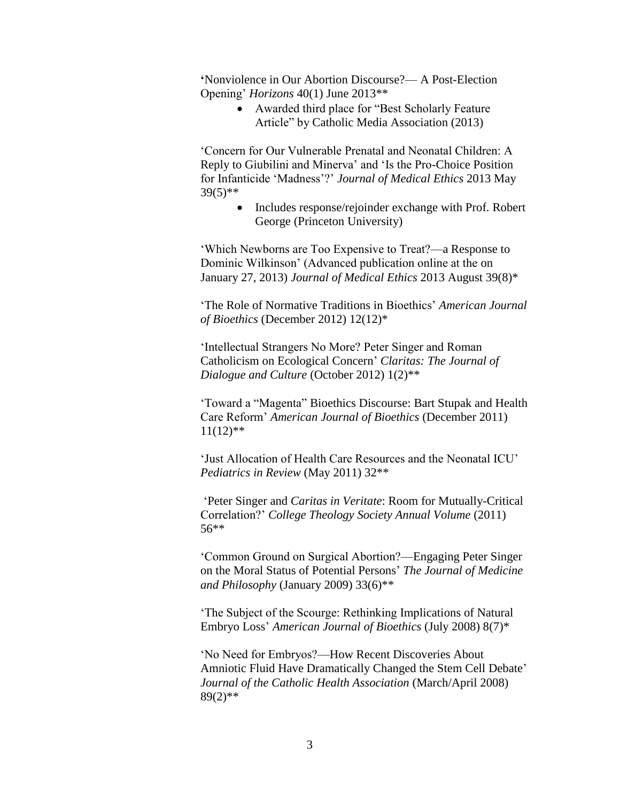**'**Nonviolence in Our Abortion Discourse?— A Post-Election Opening' *Horizons* 40(1) June 2013\*\*

> Awarded third place for "Best Scholarly Feature Article" by Catholic Media Association (2013)

'Concern for Our Vulnerable Prenatal and Neonatal Children: A Reply to Giubilini and Minerva' and 'Is the Pro-Choice Position for Infanticide 'Madness'?' *Journal of Medical Ethics* 2013 May 39(5)\*\*

> • Includes response/rejoinder exchange with Prof. Robert George (Princeton University)

'Which Newborns are Too Expensive to Treat?—a Response to Dominic Wilkinson' (Advanced publication online at the on January 27, 2013) *Journal of Medical Ethics* 2013 August 39(8)\*

'The Role of Normative Traditions in Bioethics' *American Journal of Bioethics* (December 2012) 12(12)\*

'Intellectual Strangers No More? Peter Singer and Roman Catholicism on Ecological Concern' *Claritas: The Journal of Dialogue and Culture* (October 2012) 1(2)\*\*

'Toward a "Magenta" Bioethics Discourse: Bart Stupak and Health Care Reform' *American Journal of Bioethics* (December 2011)  $11(12)$ \*\*

'Just Allocation of Health Care Resources and the Neonatal ICU' *Pediatrics in Review* (May 2011) 32\*\*

'Peter Singer and *Caritas in Veritate*: Room for Mutually-Critical Correlation?' *College Theology Society Annual Volume* (2011) 56\*\*

'Common Ground on Surgical Abortion?—Engaging Peter Singer on the Moral Status of Potential Persons' *The Journal of Medicine and Philosophy* (January 2009) 33(6)\*\*

'The Subject of the Scourge: Rethinking Implications of Natural Embryo Loss' *American Journal of Bioethics* (July 2008) 8(7)\*

'No Need for Embryos?—How Recent Discoveries About Amniotic Fluid Have Dramatically Changed the Stem Cell Debate' *Journal of the Catholic Health Association* (March/April 2008)  $89(2)$ \*\*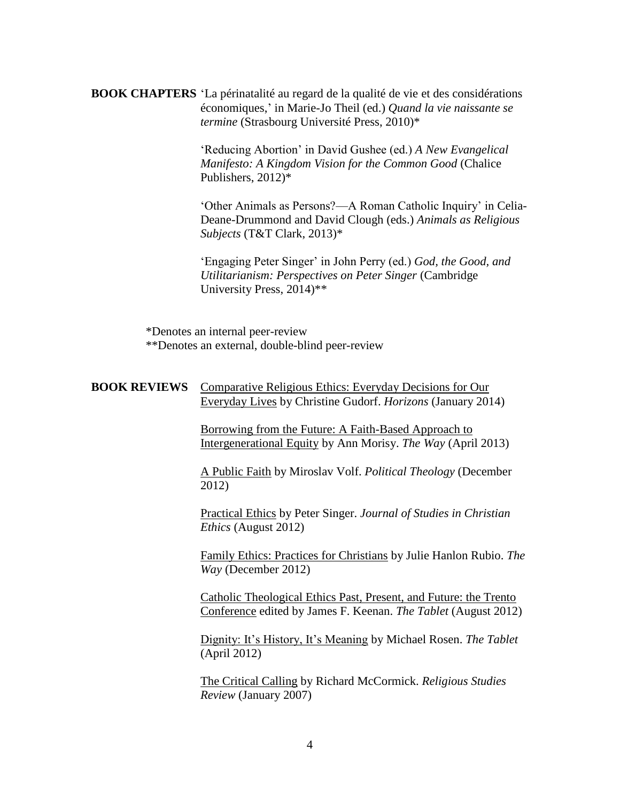**BOOK CHAPTERS** 'La périnatalité au regard de la qualité de vie et des considérations économiques,' in Marie-Jo Theil (ed.) *Quand la vie naissante se termine* (Strasbourg Université Press, 2010)\*

> 'Reducing Abortion' in David Gushee (ed.) *A New Evangelical Manifesto: A Kingdom Vision for the Common Good* (Chalice Publishers, 2012)\*

'Other Animals as Persons?—A Roman Catholic Inquiry' in Celia-Deane-Drummond and David Clough (eds.) *Animals as Religious Subjects* (T&T Clark, 2013)\*

'Engaging Peter Singer' in John Perry (ed.) *God, the Good, and Utilitarianism: Perspectives on Peter Singer* (Cambridge University Press, 2014)\*\*

\*Denotes an internal peer-review \*\*Denotes an external, double-blind peer-review

## **BOOK REVIEWS** Comparative Religious Ethics: Everyday Decisions for Our Everyday Lives by Christine Gudorf. *Horizons* (January 2014)

Borrowing from the Future: A Faith-Based Approach to Intergenerational Equity by Ann Morisy. *The Way* (April 2013)

A Public Faith by Miroslav Volf. *Political Theology* (December 2012)

Practical Ethics by Peter Singer. *Journal of Studies in Christian Ethics* (August 2012)

Family Ethics: Practices for Christians by Julie Hanlon Rubio. *The Way* (December 2012)

Catholic Theological Ethics Past, Present, and Future: the Trento Conference edited by James F. Keenan. *The Tablet* (August 2012)

Dignity: It's History, It's Meaning by Michael Rosen. *The Tablet* (April 2012)

The Critical Calling by Richard McCormick. *Religious Studies Review* (January 2007)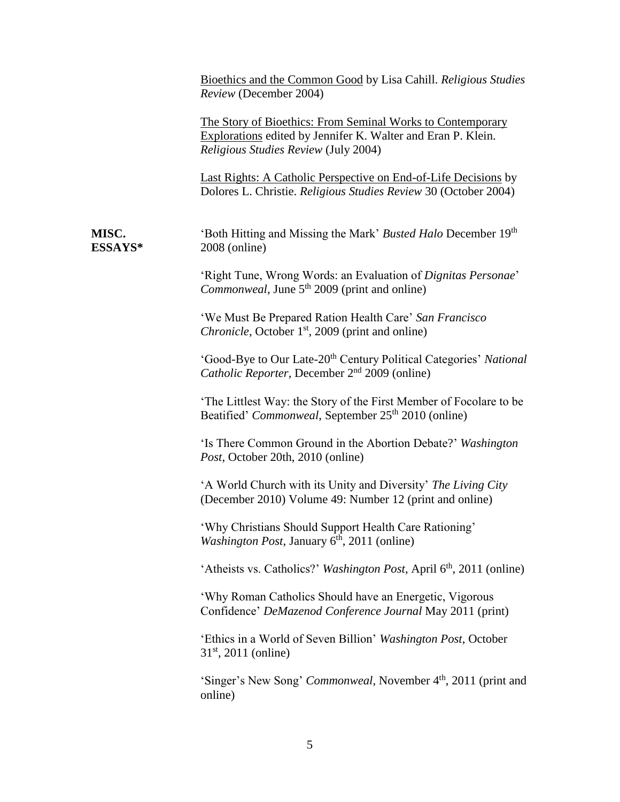|                  | Bioethics and the Common Good by Lisa Cahill. Religious Studies<br>Review (December 2004)                                                                          |
|------------------|--------------------------------------------------------------------------------------------------------------------------------------------------------------------|
|                  | The Story of Bioethics: From Seminal Works to Contemporary<br>Explorations edited by Jennifer K. Walter and Eran P. Klein.<br>Religious Studies Review (July 2004) |
|                  | Last Rights: A Catholic Perspective on End-of-Life Decisions by<br>Dolores L. Christie. Religious Studies Review 30 (October 2004)                                 |
| MISC.<br>ESSAYS* | 'Both Hitting and Missing the Mark' Busted Halo December 19th<br>2008 (online)                                                                                     |
|                  | 'Right Tune, Wrong Words: an Evaluation of Dignitas Personae'<br><i>Commonweal</i> , June 5 <sup>th</sup> 2009 (print and online)                                  |
|                  | 'We Must Be Prepared Ration Health Care' San Francisco<br><i>Chronicle</i> , October 1 <sup>st</sup> , 2009 (print and online)                                     |
|                  | 'Good-Bye to Our Late-20 <sup>th</sup> Century Political Categories' National<br>Catholic Reporter, December 2 <sup>nd</sup> 2009 (online)                         |
|                  | The Littlest Way: the Story of the First Member of Focolare to be<br>Beatified' Commonweal, September 25 <sup>th</sup> 2010 (online)                               |
|                  | 'Is There Common Ground in the Abortion Debate?' Washington<br>Post, October 20th, 2010 (online)                                                                   |
|                  | 'A World Church with its Unity and Diversity' The Living City<br>(December 2010) Volume 49: Number 12 (print and online)                                           |
|                  | 'Why Christians Should Support Health Care Rationing'<br><i>Washington Post</i> , January $6th$ , 2011 (online)                                                    |
|                  | 'Atheists vs. Catholics?' Washington Post, April 6 <sup>th</sup> , 2011 (online)                                                                                   |
|                  | 'Why Roman Catholics Should have an Energetic, Vigorous<br>Confidence' DeMazenod Conference Journal May 2011 (print)                                               |
|                  | 'Ethics in a World of Seven Billion' Washington Post, October<br>$31st$ , 2011 (online)                                                                            |
|                  | 'Singer's New Song' <i>Commonweal</i> , November 4 <sup>th</sup> , 2011 (print and<br>online)                                                                      |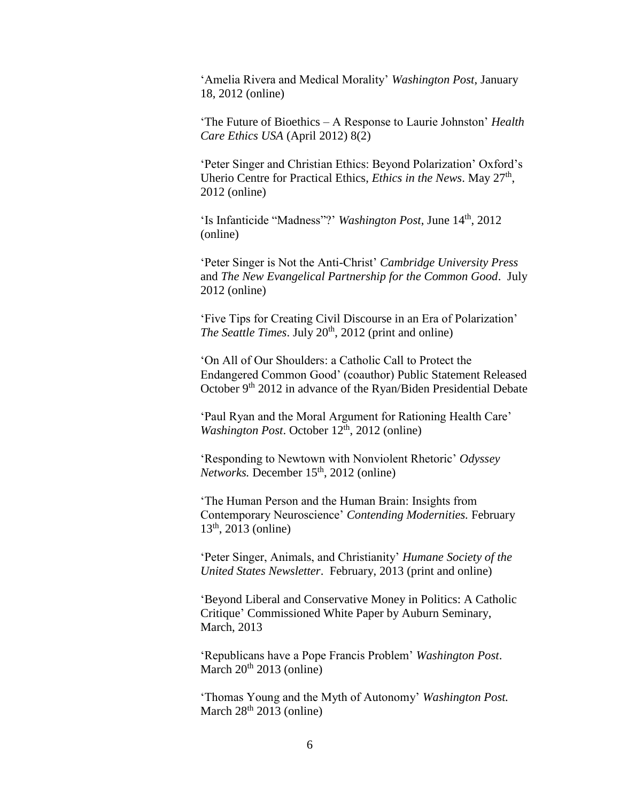'Amelia Rivera and Medical Morality' *Washington Post*, January 18, 2012 (online)

'The Future of Bioethics – A Response to Laurie Johnston' *Health Care Ethics USA* (April 2012) 8(2)

'Peter Singer and Christian Ethics: Beyond Polarization' Oxford's Uherio Centre for Practical Ethics, *Ethics in the News*. May 27<sup>th</sup>, 2012 (online)

'Is Infanticide "Madness"?' *Washington Post*, June 14<sup>th</sup>, 2012 (online)

'Peter Singer is Not the Anti-Christ' *Cambridge University Press* and *The New Evangelical Partnership for the Common Good*. July 2012 (online)

'Five Tips for Creating Civil Discourse in an Era of Polarization' *The Seattle Times.* July 20<sup>th</sup>, 2012 (print and online)

'On All of Our Shoulders: a Catholic Call to Protect the Endangered Common Good' (coauthor) Public Statement Released October 9<sup>th</sup> 2012 in advance of the Ryan/Biden Presidential Debate

'Paul Ryan and the Moral Argument for Rationing Health Care' *Washington Post.* October 12<sup>th</sup>, 2012 (online)

'Responding to Newtown with Nonviolent Rhetoric' *Odyssey Networks.* December 15<sup>th</sup>, 2012 (online)

'The Human Person and the Human Brain: Insights from Contemporary Neuroscience' *Contending Modernities.* February  $13<sup>th</sup>$ , 2013 (online)

'Peter Singer, Animals, and Christianity' *Humane Society of the United States Newsletter*. February, 2013 (print and online)

'Beyond Liberal and Conservative Money in Politics: A Catholic Critique' Commissioned White Paper by Auburn Seminary, March, 2013

'Republicans have a Pope Francis Problem' *Washington Post*. March  $20^{th}$  2013 (online)

'Thomas Young and the Myth of Autonomy' *Washington Post.* March  $28<sup>th</sup> 2013$  (online)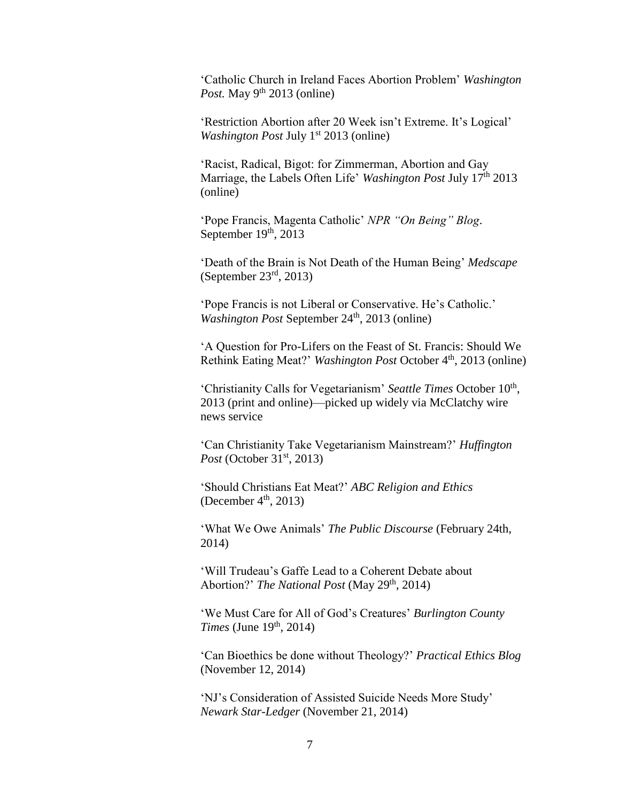'Catholic Church in Ireland Faces Abortion Problem' *Washington Post.* May  $9^{th}$  2013 (online)

'Restriction Abortion after 20 Week isn't Extreme. It's Logical' *Washington Post July* 1<sup>st</sup> 2013 (online)

'Racist, Radical, Bigot: for Zimmerman, Abortion and Gay Marriage, the Labels Often Life' *Washington Post July* 17<sup>th</sup> 2013 (online)

'Pope Francis, Magenta Catholic' *NPR "On Being" Blog*. September  $19<sup>th</sup>$ , 2013

'Death of the Brain is Not Death of the Human Being' *Medscape* (September  $23<sup>rd</sup>$ , 2013)

'Pope Francis is not Liberal or Conservative. He's Catholic.' *Washington Post* September 24<sup>th</sup>, 2013 (online)

'A Question for Pro-Lifers on the Feast of St. Francis: Should We Rethink Eating Meat?' *Washington Post* October 4th , 2013 (online)

'Christianity Calls for Vegetarianism' Seattle Times October 10<sup>th</sup>, 2013 (print and online)—picked up widely via McClatchy wire news service

'Can Christianity Take Vegetarianism Mainstream?' *Huffington Post* (October 31<sup>st</sup>, 2013)

'Should Christians Eat Meat?' *ABC Religion and Ethics* (December  $4<sup>th</sup>$ , 2013)

'What We Owe Animals' *The Public Discourse* (February 24th, 2014)

'Will Trudeau's Gaffe Lead to a Coherent Debate about Abortion?' *The National Post* (May 29<sup>th</sup>, 2014)

'We Must Care for All of God's Creatures' *Burlington County Times* (June 19<sup>th</sup>, 2014)

'Can Bioethics be done without Theology?' *Practical Ethics Blog* (November 12, 2014)

'NJ's Consideration of Assisted Suicide Needs More Study' *Newark Star-Ledger* (November 21, 2014)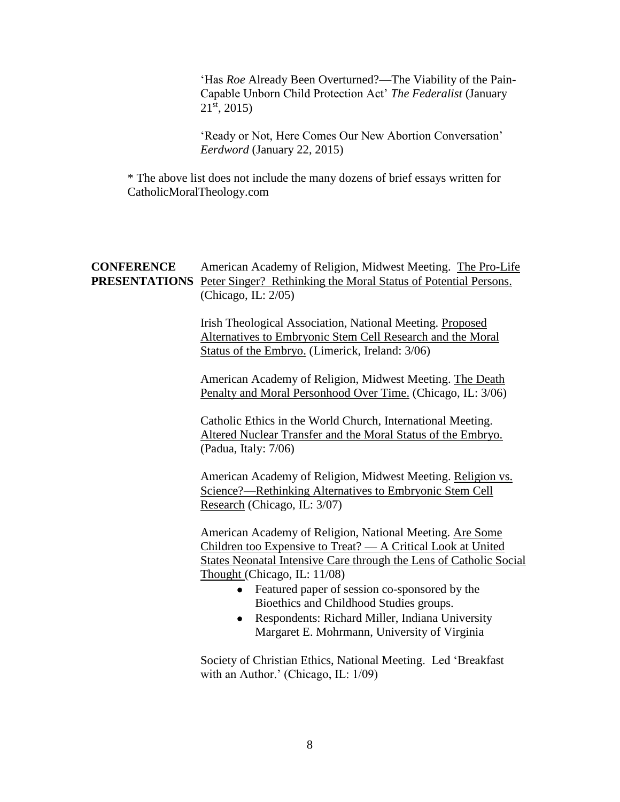'Has *Roe* Already Been Overturned?—The Viability of the Pain-Capable Unborn Child Protection Act' *The Federalist* (January  $21^{st}$ , 2015)

'Ready or Not, Here Comes Our New Abortion Conversation' *Eerdword* (January 22, 2015)

\* The above list does not include the many dozens of brief essays written for CatholicMoralTheology.com

## **CONFERENCE** American Academy of Religion, Midwest Meeting. The Pro-Life **PRESENTATIONS** Peter Singer? Rethinking the Moral Status of Potential Persons. (Chicago, IL: 2/05)

Irish Theological Association, National Meeting. Proposed Alternatives to Embryonic Stem Cell Research and the Moral Status of the Embryo. (Limerick, Ireland: 3/06)

American Academy of Religion, Midwest Meeting. The Death Penalty and Moral Personhood Over Time. (Chicago, IL: 3/06)

Catholic Ethics in the World Church, International Meeting. Altered Nuclear Transfer and the Moral Status of the Embryo. (Padua, Italy: 7/06)

American Academy of Religion, Midwest Meeting. Religion vs. Science?—Rethinking Alternatives to Embryonic Stem Cell Research (Chicago, IL: 3/07)

American Academy of Religion, National Meeting. Are Some Children too Expensive to Treat? — A Critical Look at United States Neonatal Intensive Care through the Lens of Catholic Social Thought (Chicago, IL: 11/08)

- Featured paper of session co-sponsored by the Bioethics and Childhood Studies groups.
- Respondents: Richard Miller, Indiana University Margaret E. Mohrmann, University of Virginia

Society of Christian Ethics, National Meeting. Led 'Breakfast with an Author.' (Chicago, IL: 1/09)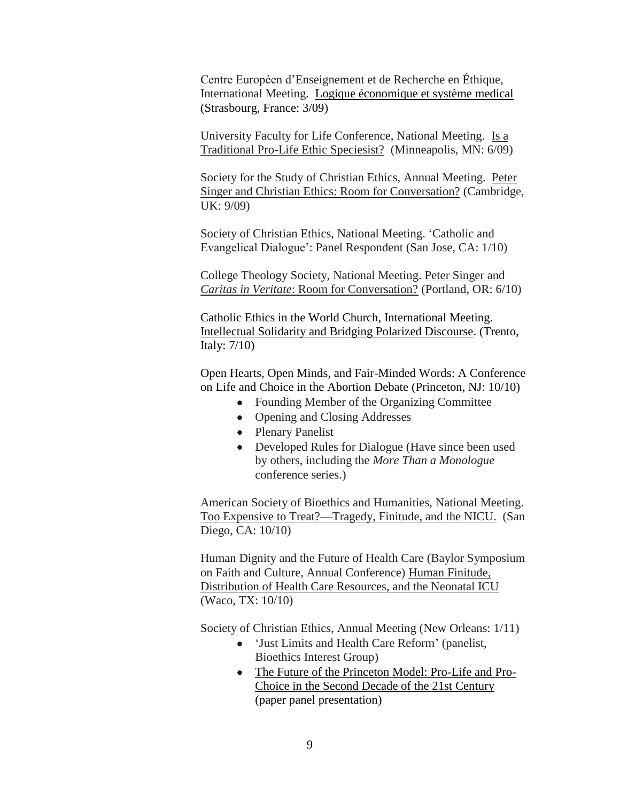Centre Européen d'Enseignement et de Recherche en Éthique, International Meeting. Logique économique et système medical (Strasbourg, France: 3/09)

University Faculty for Life Conference, National Meeting. Is a Traditional Pro-Life Ethic Speciesist? (Minneapolis, MN: 6/09)

Society for the Study of Christian Ethics, Annual Meeting. Peter Singer and Christian Ethics: Room for Conversation? (Cambridge, UK: 9/09)

Society of Christian Ethics, National Meeting. 'Catholic and Evangelical Dialogue': Panel Respondent (San Jose, CA: 1/10)

College Theology Society, National Meeting. Peter Singer and *Caritas in Veritate*: Room for Conversation? (Portland, OR: 6/10)

Catholic Ethics in the World Church, International Meeting. Intellectual Solidarity and Bridging Polarized Discourse. (Trento, Italy: 7/10)

Open Hearts, Open Minds, and Fair-Minded Words: A Conference on Life and Choice in the Abortion Debate (Princeton, NJ: 10/10)

- Founding Member of the Organizing Committee
- Opening and Closing Addresses
- Plenary Panelist
- Developed Rules for Dialogue (Have since been used by others, including the *More Than a Monologue*  conference series.)

American Society of Bioethics and Humanities, National Meeting. Too Expensive to Treat?—Tragedy, Finitude, and the NICU. (San Diego, CA: 10/10)

Human Dignity and the Future of Health Care (Baylor Symposium on Faith and Culture, Annual Conference) Human Finitude, Distribution of Health Care Resources, and the Neonatal ICU (Waco, TX: 10/10)

Society of Christian Ethics, Annual Meeting (New Orleans: 1/11)

- 'Just Limits and Health Care Reform' (panelist, Bioethics Interest Group)
- The Future of the Princeton Model: Pro-Life and Pro-Choice in the Second Decade of the 21st Century (paper panel presentation)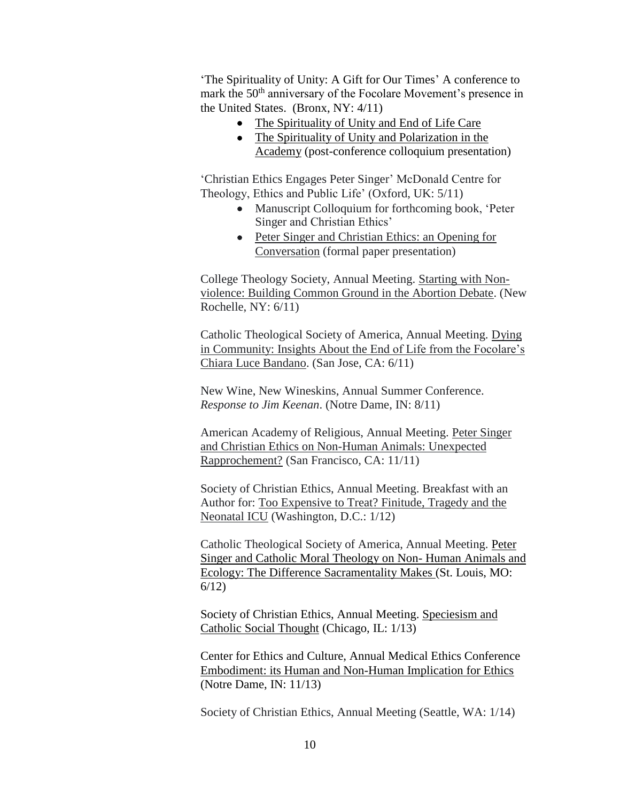'The Spirituality of Unity: A Gift for Our Times' A conference to mark the 50<sup>th</sup> anniversary of the Focolare Movement's presence in the United States. (Bronx, NY: 4/11)

- The Spirituality of Unity and End of Life Care
- The Spirituality of Unity and Polarization in the Academy (post-conference colloquium presentation)

'Christian Ethics Engages Peter Singer' McDonald Centre for Theology, Ethics and Public Life' (Oxford, UK: 5/11)

- Manuscript Colloquium for forthcoming book, 'Peter Singer and Christian Ethics'
- Peter Singer and Christian Ethics: an Opening for Conversation (formal paper presentation)

College Theology Society, Annual Meeting. Starting with Nonviolence: Building Common Ground in the Abortion Debate. (New Rochelle, NY: 6/11)

Catholic Theological Society of America, Annual Meeting. Dying in Community: Insights About the End of Life from the Focolare's Chiara Luce Bandano. (San Jose, CA: 6/11)

New Wine, New Wineskins, Annual Summer Conference. *Response to Jim Keenan*. (Notre Dame, IN: 8/11)

American Academy of Religious, Annual Meeting. Peter Singer and Christian Ethics on Non-Human Animals: Unexpected Rapprochement? (San Francisco, CA: 11/11)

Society of Christian Ethics, Annual Meeting. Breakfast with an Author for: Too Expensive to Treat? Finitude, Tragedy and the Neonatal ICU (Washington, D.C.: 1/12)

Catholic Theological Society of America, Annual Meeting. Peter Singer and Catholic Moral Theology on Non- Human Animals and Ecology: The Difference Sacramentality Makes (St. Louis, MO: 6/12)

Society of Christian Ethics, Annual Meeting. Speciesism and Catholic Social Thought (Chicago, IL: 1/13)

Center for Ethics and Culture, Annual Medical Ethics Conference Embodiment: its Human and Non-Human Implication for Ethics (Notre Dame, IN: 11/13)

Society of Christian Ethics, Annual Meeting (Seattle, WA: 1/14)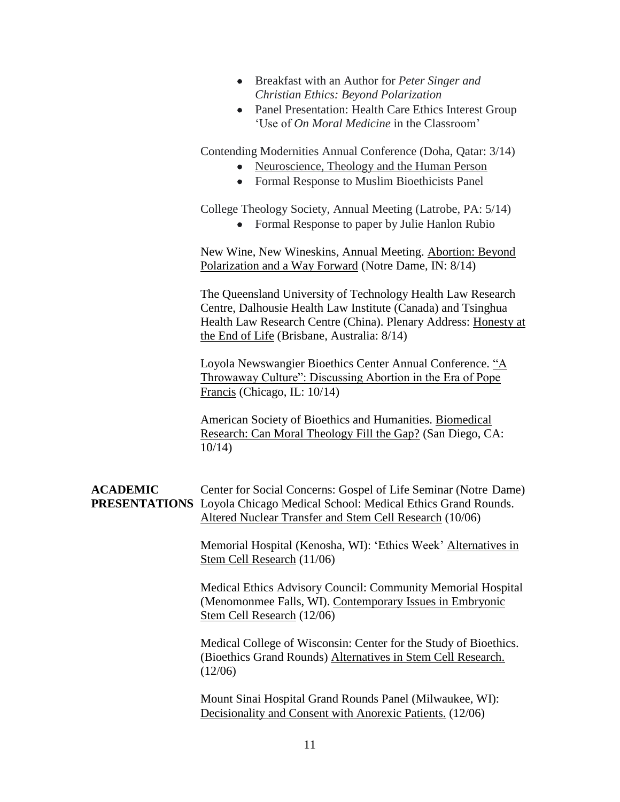- Breakfast with an Author for *Peter Singer and Christian Ethics: Beyond Polarization*
- Panel Presentation: Health Care Ethics Interest Group 'Use of *On Moral Medicine* in the Classroom'

Contending Modernities Annual Conference (Doha, Qatar: 3/14)

- Neuroscience, Theology and the Human Person
- Formal Response to Muslim Bioethicists Panel

College Theology Society, Annual Meeting (Latrobe, PA: 5/14)

• Formal Response to paper by Julie Hanlon Rubio

New Wine, New Wineskins, Annual Meeting. Abortion: Beyond Polarization and a Way Forward (Notre Dame, IN: 8/14)

The Queensland University of Technology Health Law Research Centre, Dalhousie Health Law Institute (Canada) and Tsinghua Health Law Research Centre (China). Plenary Address: Honesty at the End of Life (Brisbane, Australia: 8/14)

Loyola Newswangier Bioethics Center Annual Conference. "A Throwaway Culture": Discussing Abortion in the Era of Pope Francis (Chicago, IL: 10/14)

American Society of Bioethics and Humanities. Biomedical Research: Can Moral Theology Fill the Gap? (San Diego, CA: 10/14)

## **ACADEMIC** Center for Social Concerns: Gospel of Life Seminar (Notre Dame) **PRESENTATIONS** Loyola Chicago Medical School: Medical Ethics Grand Rounds. Altered Nuclear Transfer and Stem Cell Research (10/06)

Memorial Hospital (Kenosha, WI): 'Ethics Week' Alternatives in Stem Cell Research (11/06)

Medical Ethics Advisory Council: Community Memorial Hospital (Menomonmee Falls, WI). Contemporary Issues in Embryonic Stem Cell Research (12/06)

Medical College of Wisconsin: Center for the Study of Bioethics. (Bioethics Grand Rounds) Alternatives in Stem Cell Research. (12/06)

Mount Sinai Hospital Grand Rounds Panel (Milwaukee, WI): Decisionality and Consent with Anorexic Patients. (12/06)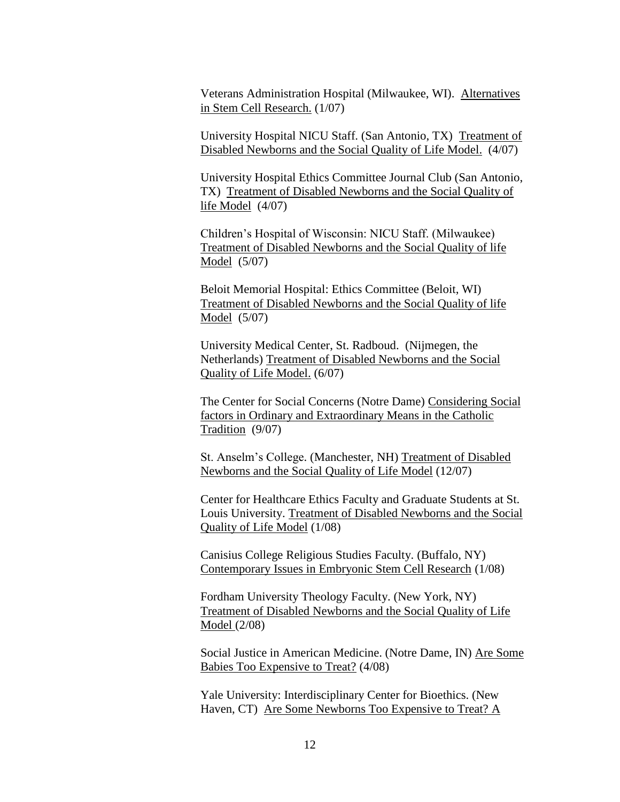Veterans Administration Hospital (Milwaukee, WI). Alternatives in Stem Cell Research. (1/07)

University Hospital NICU Staff. (San Antonio, TX) Treatment of Disabled Newborns and the Social Quality of Life Model. (4/07)

University Hospital Ethics Committee Journal Club (San Antonio, TX) Treatment of Disabled Newborns and the Social Quality of life Model (4/07)

Children's Hospital of Wisconsin: NICU Staff. (Milwaukee) Treatment of Disabled Newborns and the Social Quality of life Model (5/07)

Beloit Memorial Hospital: Ethics Committee (Beloit, WI) Treatment of Disabled Newborns and the Social Quality of life Model (5/07)

University Medical Center, St. Radboud. (Nijmegen, the Netherlands) Treatment of Disabled Newborns and the Social Quality of Life Model. (6/07)

The Center for Social Concerns (Notre Dame) Considering Social factors in Ordinary and Extraordinary Means in the Catholic Tradition (9/07)

St. Anselm's College. (Manchester, NH) Treatment of Disabled Newborns and the Social Quality of Life Model (12/07)

Center for Healthcare Ethics Faculty and Graduate Students at St. Louis University. Treatment of Disabled Newborns and the Social Quality of Life Model (1/08)

Canisius College Religious Studies Faculty. (Buffalo, NY) Contemporary Issues in Embryonic Stem Cell Research (1/08)

Fordham University Theology Faculty. (New York, NY) Treatment of Disabled Newborns and the Social Quality of Life Model (2/08)

Social Justice in American Medicine. (Notre Dame, IN) Are Some Babies Too Expensive to Treat? (4/08)

Yale University: Interdisciplinary Center for Bioethics. (New Haven, CT) Are Some Newborns Too Expensive to Treat? A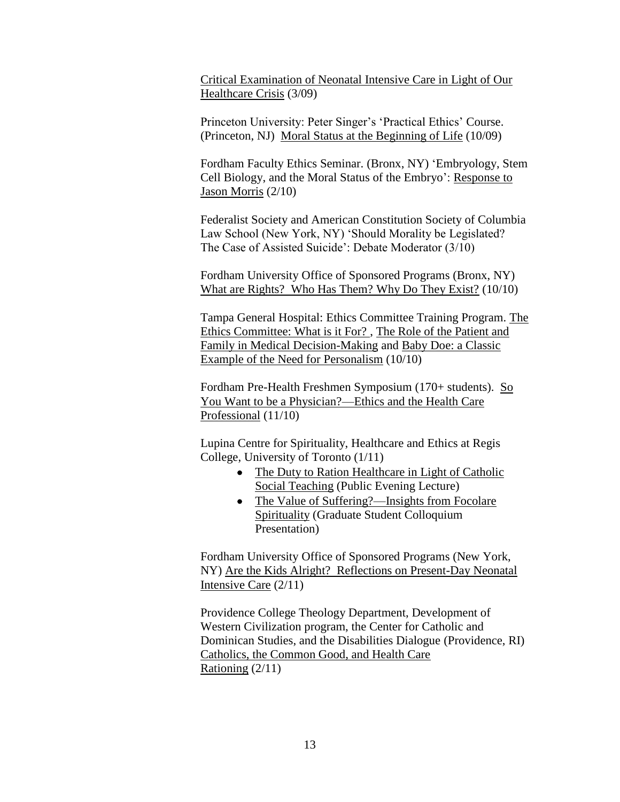Critical Examination of Neonatal Intensive Care in Light of Our Healthcare Crisis (3/09)

Princeton University: Peter Singer's 'Practical Ethics' Course. (Princeton, NJ) Moral Status at the Beginning of Life (10/09)

Fordham Faculty Ethics Seminar. (Bronx, NY) 'Embryology, Stem Cell Biology, and the Moral Status of the Embryo': Response to Jason Morris (2/10)

Federalist Society and American Constitution Society of Columbia Law School (New York, NY) 'Should Morality be Legislated? The Case of Assisted Suicide': Debate Moderator (3/10)

Fordham University Office of Sponsored Programs (Bronx, NY) What are Rights? Who Has Them? Why Do They Exist? (10/10)

Tampa General Hospital: Ethics Committee Training Program. The Ethics Committee: What is it For? , The Role of the Patient and Family in Medical Decision-Making and Baby Doe: a Classic Example of the Need for Personalism (10/10)

Fordham Pre-Health Freshmen Symposium (170+ students). So You Want to be a Physician?—Ethics and the Health Care Professional (11/10)

Lupina Centre for Spirituality, Healthcare and Ethics at Regis College, University of Toronto (1/11)

- The Duty to Ration Healthcare in Light of Catholic Social Teaching (Public Evening Lecture)
- The Value of Suffering?—Insights from Focolare Spirituality (Graduate Student Colloquium Presentation)

Fordham University Office of Sponsored Programs (New York, NY) Are the Kids Alright? Reflections on Present-Day Neonatal Intensive Care (2/11)

Providence College Theology Department, Development of Western Civilization program, the Center for Catholic and Dominican Studies, and the Disabilities Dialogue (Providence, RI) Catholics, the Common Good, and Health Care Rationing (2/11)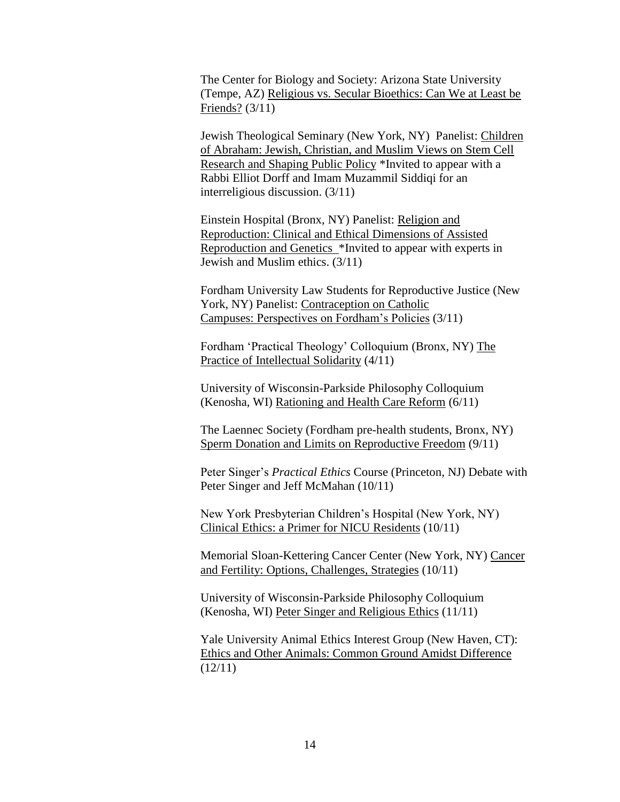The Center for Biology and Society: Arizona State University (Tempe, AZ) Religious vs. Secular Bioethics: Can We at Least be Friends? (3/11)

Jewish Theological Seminary (New York, NY) Panelist: Children of Abraham: Jewish, Christian, and Muslim Views on Stem Cell Research and Shaping Public Policy \*Invited to appear with a Rabbi Elliot Dorff and Imam Muzammil Siddiqi for an interreligious discussion. (3/11)

Einstein Hospital (Bronx, NY) Panelist: Religion and Reproduction: Clinical and Ethical Dimensions of Assisted Reproduction and Genetics \*Invited to appear with experts in Jewish and Muslim ethics. (3/11)

Fordham University Law Students for Reproductive Justice (New York, NY) Panelist: Contraception on Catholic Campuses: Perspectives on Fordham's Policies (3/11)

Fordham 'Practical Theology' Colloquium (Bronx, NY) The Practice of Intellectual Solidarity (4/11)

University of Wisconsin-Parkside Philosophy Colloquium (Kenosha, WI) Rationing and Health Care Reform (6/11)

The Laennec Society (Fordham pre-health students, Bronx, NY) Sperm Donation and Limits on Reproductive Freedom (9/11)

Peter Singer's *Practical Ethics* Course (Princeton, NJ) Debate with Peter Singer and Jeff McMahan (10/11)

New York Presbyterian Children's Hospital (New York, NY) Clinical Ethics: a Primer for NICU Residents (10/11)

Memorial Sloan-Kettering Cancer Center (New York, NY) Cancer and Fertility: Options, Challenges, Strategies (10/11)

University of Wisconsin-Parkside Philosophy Colloquium (Kenosha, WI) Peter Singer and Religious Ethics (11/11)

Yale University Animal Ethics Interest Group (New Haven, CT): Ethics and Other Animals: Common Ground Amidst Difference  $(12/11)$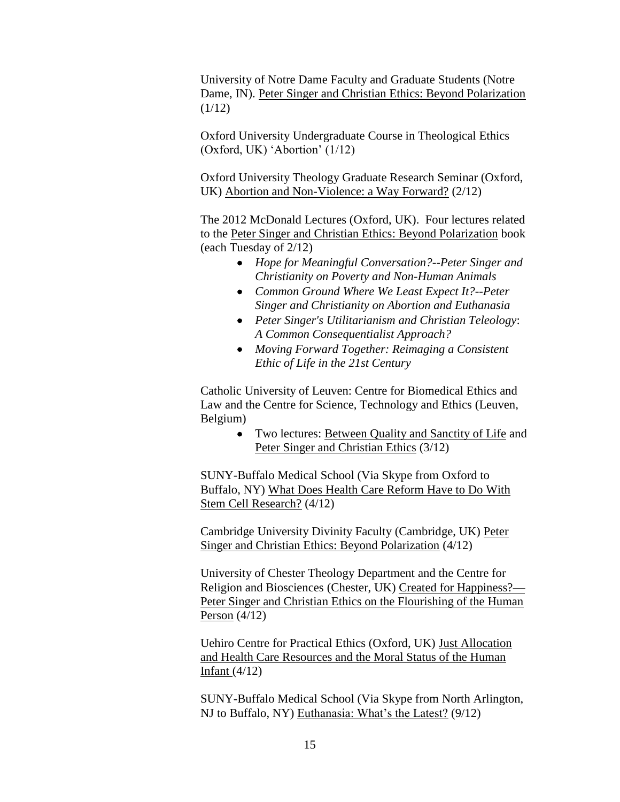University of Notre Dame Faculty and Graduate Students (Notre Dame, IN). Peter Singer and Christian Ethics: Beyond Polarization  $(1/12)$ 

Oxford University Undergraduate Course in Theological Ethics (Oxford, UK) 'Abortion' (1/12)

Oxford University Theology Graduate Research Seminar (Oxford, UK) Abortion and Non-Violence: a Way Forward? (2/12)

The 2012 McDonald Lectures (Oxford, UK). Four lectures related to the Peter Singer and Christian Ethics: Beyond Polarization book (each Tuesday of 2/12)

- *Hope for Meaningful Conversation?--Peter Singer and Christianity on Poverty and Non-Human Animals*
- *Common Ground Where We Least Expect It?--Peter Singer and Christianity on Abortion and Euthanasia*
- *Peter Singer's Utilitarianism and Christian Teleology*: *A Common Consequentialist Approach?*
- *Moving Forward Together: Reimaging a Consistent Ethic of Life in the 21st Century*

Catholic University of Leuven: Centre for Biomedical Ethics and Law and the Centre for Science, Technology and Ethics (Leuven, Belgium)

> Two lectures: Between Quality and Sanctity of Life and Peter Singer and Christian Ethics (3/12)

SUNY-Buffalo Medical School (Via Skype from Oxford to Buffalo, NY) What Does Health Care Reform Have to Do With Stem Cell Research? (4/12)

Cambridge University Divinity Faculty (Cambridge, UK) Peter Singer and Christian Ethics: Beyond Polarization (4/12)

University of Chester Theology Department and the Centre for Religion and Biosciences (Chester, UK) Created for Happiness?— Peter Singer and Christian Ethics on the Flourishing of the Human Person (4/12)

Uehiro Centre for Practical Ethics (Oxford, UK) Just Allocation and Health Care Resources and the Moral Status of the Human Infant (4/12)

SUNY-Buffalo Medical School (Via Skype from North Arlington, NJ to Buffalo, NY) Euthanasia: What's the Latest? (9/12)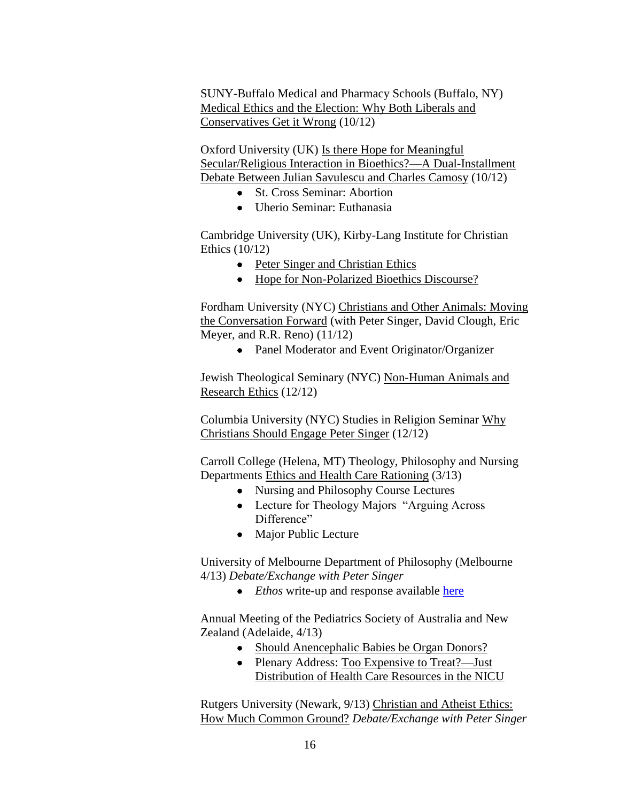SUNY-Buffalo Medical and Pharmacy Schools (Buffalo, NY) Medical Ethics and the Election: Why Both Liberals and Conservatives Get it Wrong (10/12)

Oxford University (UK) Is there Hope for Meaningful Secular/Religious Interaction in Bioethics?—A Dual-Installment Debate Between Julian Savulescu and Charles Camosy (10/12)

- St. Cross Seminar: Abortion
- Uherio Seminar: Euthanasia

Cambridge University (UK), Kirby-Lang Institute for Christian Ethics (10/12)

- Peter Singer and Christian Ethics
- Hope for Non-Polarized Bioethics Discourse?

Fordham University (NYC) Christians and Other Animals: Moving the Conversation Forward (with Peter Singer, David Clough, Eric Meyer, and R.R. Reno) (11/12)

• Panel Moderator and Event Originator/Organizer

Jewish Theological Seminary (NYC) Non-Human Animals and Research Ethics (12/12)

Columbia University (NYC) Studies in Religion Seminar Why Christians Should Engage Peter Singer (12/12)

Carroll College (Helena, MT) Theology, Philosophy and Nursing Departments Ethics and Health Care Rationing (3/13)

- Nursing and Philosophy Course Lectures
- Lecture for Theology Majors "Arguing Across" Difference"
- Major Public Lecture

University of Melbourne Department of Philosophy (Melbourne 4/13) *Debate/Exchange with Peter Singer* 

• *Ethos* write-up and response available [here](http://www.ea.org.au/Ethos/Engage-Mail/Peter-Singer-and-Christian-Ethics-Beyond-Polarization.aspx%20(to%20%22Presentations%22%20line?))

Annual Meeting of the Pediatrics Society of Australia and New Zealand (Adelaide, 4/13)

- Should Anencephalic Babies be Organ Donors?
- Plenary Address: Too Expensive to Treat?—Just Distribution of Health Care Resources in the NICU

Rutgers University (Newark, 9/13) Christian and Atheist Ethics: How Much Common Ground? *Debate/Exchange with Peter Singer*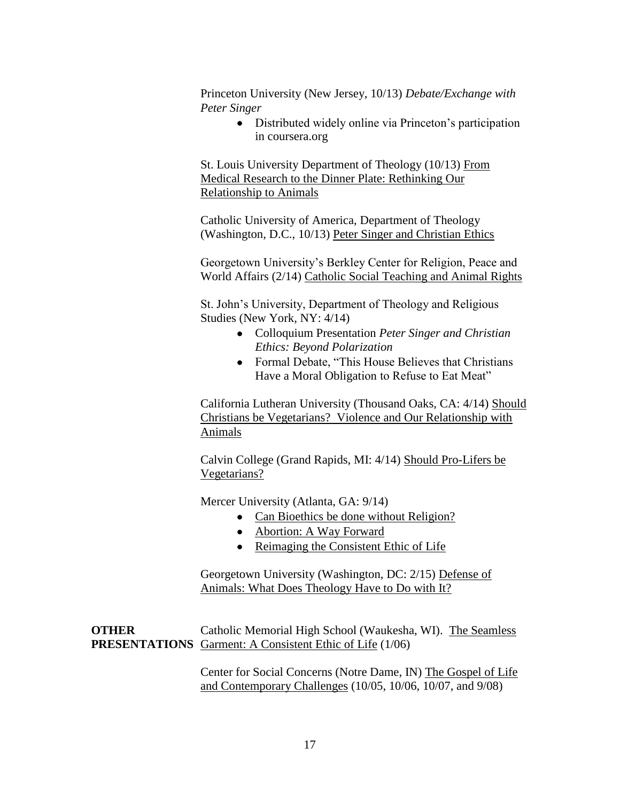Princeton University (New Jersey, 10/13) *Debate/Exchange with Peter Singer*

> Distributed widely online via Princeton's participation in coursera.org

St. Louis University Department of Theology (10/13) From Medical Research to the Dinner Plate: Rethinking Our Relationship to Animals

Catholic University of America, Department of Theology (Washington, D.C., 10/13) Peter Singer and Christian Ethics

Georgetown University's Berkley Center for Religion, Peace and World Affairs (2/14) Catholic Social Teaching and Animal Rights

St. John's University, Department of Theology and Religious Studies (New York, NY: 4/14)

- Colloquium Presentation *Peter Singer and Christian Ethics: Beyond Polarization*
- Formal Debate, "This House Believes that Christians" Have a Moral Obligation to Refuse to Eat Meat"

California Lutheran University (Thousand Oaks, CA: 4/14) Should Christians be Vegetarians? Violence and Our Relationship with Animals

Calvin College (Grand Rapids, MI: 4/14) Should Pro-Lifers be Vegetarians?

Mercer University (Atlanta, GA: 9/14)

- Can Bioethics be done without Religion?
- Abortion: A Way Forward
- Reimaging the Consistent Ethic of Life

Georgetown University (Washington, DC: 2/15) Defense of Animals: What Does Theology Have to Do with It?

**OTHER** Catholic Memorial High School (Waukesha, WI). The Seamless **PRESENTATIONS** Garment: A Consistent Ethic of Life (1/06)

> Center for Social Concerns (Notre Dame, IN) The Gospel of Life and Contemporary Challenges (10/05, 10/06, 10/07, and 9/08)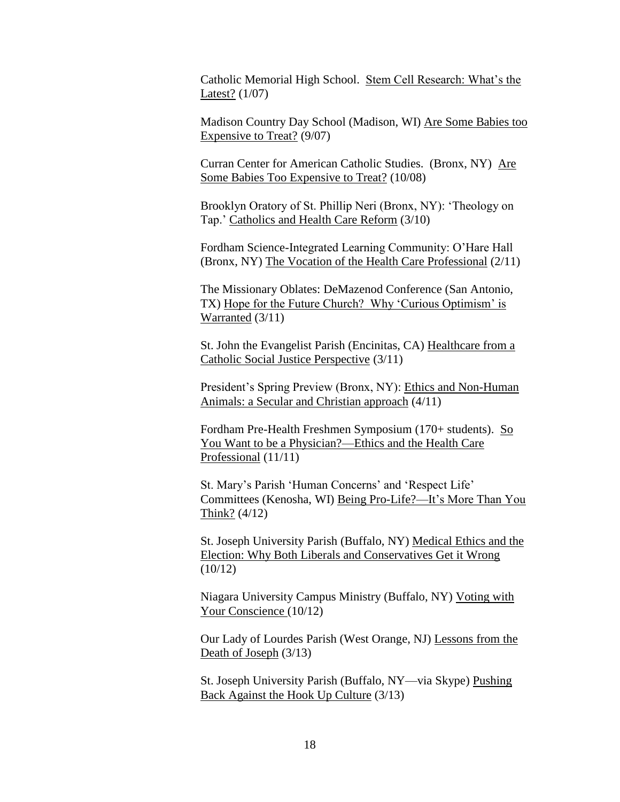Catholic Memorial High School. Stem Cell Research: What's the Latest? (1/07)

Madison Country Day School (Madison, WI) Are Some Babies too Expensive to Treat? (9/07)

Curran Center for American Catholic Studies. (Bronx, NY) Are Some Babies Too Expensive to Treat? (10/08)

Brooklyn Oratory of St. Phillip Neri (Bronx, NY): 'Theology on Tap.' Catholics and Health Care Reform (3/10)

Fordham Science-Integrated Learning Community: O'Hare Hall (Bronx, NY) The Vocation of the Health Care Professional (2/11)

The Missionary Oblates: DeMazenod Conference (San Antonio, TX) Hope for the Future Church? Why 'Curious Optimism' is Warranted (3/11)

St. John the Evangelist Parish (Encinitas, CA) Healthcare from a Catholic Social Justice Perspective (3/11)

President's Spring Preview (Bronx, NY): Ethics and Non-Human Animals: a Secular and Christian approach (4/11)

Fordham Pre-Health Freshmen Symposium (170+ students). So You Want to be a Physician?—Ethics and the Health Care Professional (11/11)

St. Mary's Parish 'Human Concerns' and 'Respect Life' Committees (Kenosha, WI) Being Pro-Life?—It's More Than You Think?  $(4/12)$ 

St. Joseph University Parish (Buffalo, NY) Medical Ethics and the Election: Why Both Liberals and Conservatives Get it Wrong  $(10/12)$ 

Niagara University Campus Ministry (Buffalo, NY) Voting with Your Conscience (10/12)

Our Lady of Lourdes Parish (West Orange, NJ) Lessons from the Death of Joseph (3/13)

St. Joseph University Parish (Buffalo, NY—via Skype) Pushing Back Against the Hook Up Culture (3/13)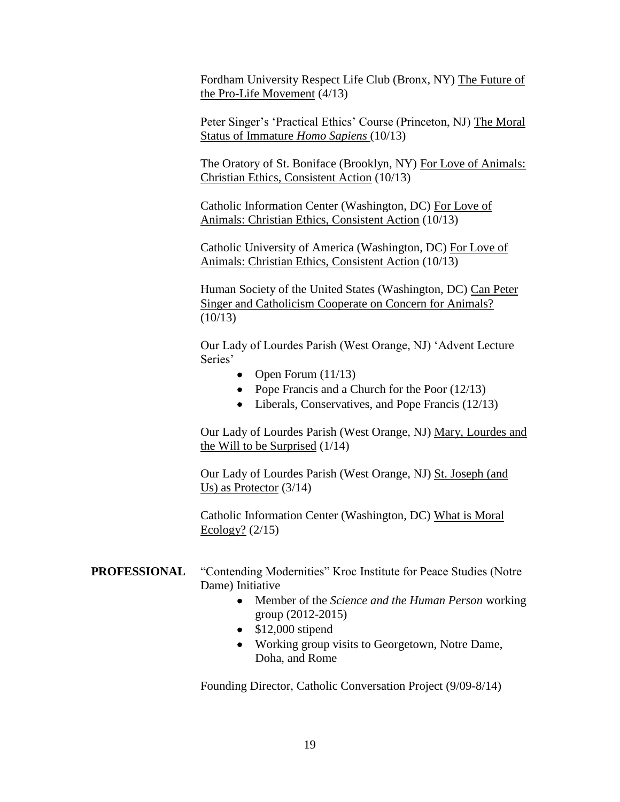Fordham University Respect Life Club (Bronx, NY) The Future of the Pro-Life Movement (4/13)

Peter Singer's 'Practical Ethics' Course (Princeton, NJ) The Moral Status of Immature *Homo Sapiens* (10/13)

The Oratory of St. Boniface (Brooklyn, NY) For Love of Animals: Christian Ethics, Consistent Action (10/13)

Catholic Information Center (Washington, DC) For Love of Animals: Christian Ethics, Consistent Action (10/13)

Catholic University of America (Washington, DC) For Love of Animals: Christian Ethics, Consistent Action (10/13)

Human Society of the United States (Washington, DC) Can Peter Singer and Catholicism Cooperate on Concern for Animals?  $(10/13)$ 

Our Lady of Lourdes Parish (West Orange, NJ) 'Advent Lecture Series'

- Open Forum  $(11/13)$
- Pope Francis and a Church for the Poor  $(12/13)$
- Liberals, Conservatives, and Pope Francis (12/13)

Our Lady of Lourdes Parish (West Orange, NJ) Mary, Lourdes and the Will to be Surprised  $(1/14)$ 

Our Lady of Lourdes Parish (West Orange, NJ) St. Joseph (and Us) as Protector (3/14)

Catholic Information Center (Washington, DC) What is Moral Ecology? (2/15)

- **PROFESSIONAL** "Contending Modernities" Kroc Institute for Peace Studies (Notre Dame) Initiative
	- Member of the *Science and the Human Person* working group (2012-2015)
	- $\bullet$  \$12,000 stipend
	- Working group visits to Georgetown, Notre Dame, Doha, and Rome

Founding Director, Catholic Conversation Project (9/09-8/14)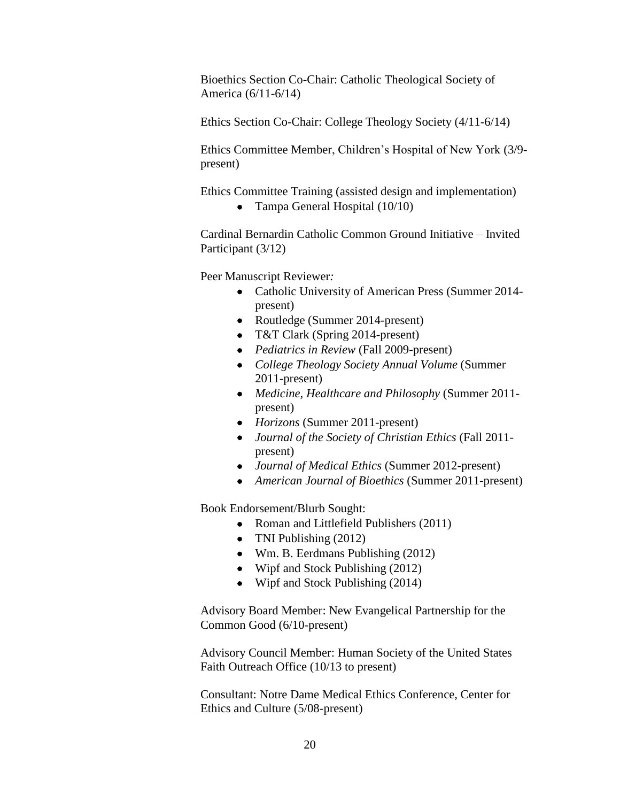Bioethics Section Co-Chair: Catholic Theological Society of America (6/11-6/14)

Ethics Section Co-Chair: College Theology Society (4/11-6/14)

Ethics Committee Member, Children's Hospital of New York (3/9 present)

Ethics Committee Training (assisted design and implementation)

• Tampa General Hospital (10/10)

Cardinal Bernardin Catholic Common Ground Initiative – Invited Participant (3/12)

Peer Manuscript Reviewer*:*

- Catholic University of American Press (Summer 2014present)
- Routledge (Summer 2014-present)
- T&T Clark (Spring 2014-present)
- *Pediatrics in Review* (Fall 2009-present)
- *College Theology Society Annual Volume* (Summer 2011-present)
- *Medicine, Healthcare and Philosophy* (Summer 2011 present)
- *Horizons* (Summer 2011-present)
- *Journal of the Society of Christian Ethics* (Fall 2011 present)
- *Journal of Medical Ethics* (Summer 2012-present)
- *American Journal of Bioethics* (Summer 2011-present)

Book Endorsement/Blurb Sought:

- Roman and Littlefield Publishers (2011)
- TNI Publishing (2012)
- Wm. B. Eerdmans Publishing (2012)
- Wipf and Stock Publishing (2012)
- Wipf and Stock Publishing (2014)

Advisory Board Member: New Evangelical Partnership for the Common Good (6/10-present)

Advisory Council Member: Human Society of the United States Faith Outreach Office (10/13 to present)

Consultant: Notre Dame Medical Ethics Conference, Center for Ethics and Culture (5/08-present)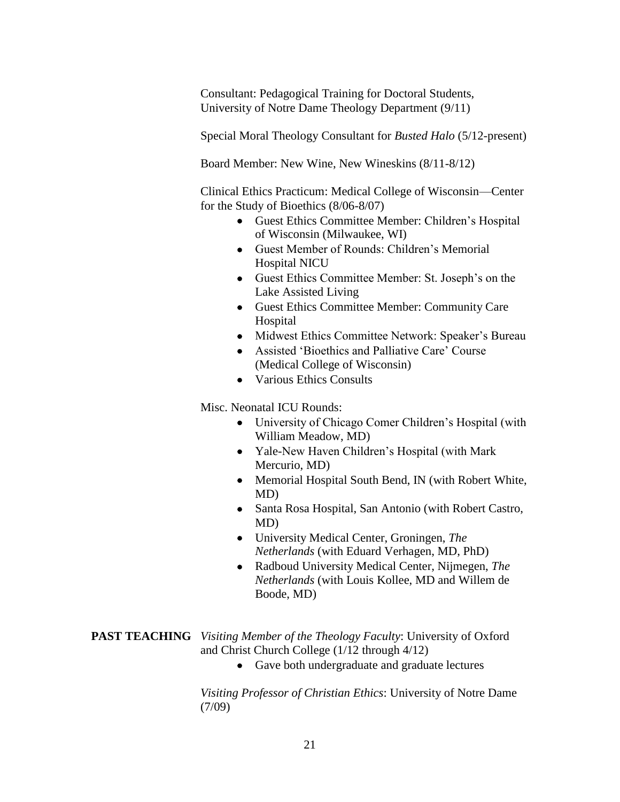Consultant: Pedagogical Training for Doctoral Students, University of Notre Dame Theology Department (9/11)

Special Moral Theology Consultant for *Busted Halo* (5/12-present)

Board Member: New Wine, New Wineskins (8/11-8/12)

Clinical Ethics Practicum: Medical College of Wisconsin—Center for the Study of Bioethics (8/06-8/07)

- Guest Ethics Committee Member: Children's Hospital of Wisconsin (Milwaukee, WI)
- Guest Member of Rounds: Children's Memorial Hospital NICU
- Guest Ethics Committee Member: St. Joseph's on the Lake Assisted Living
- Guest Ethics Committee Member: Community Care Hospital
- Midwest Ethics Committee Network: Speaker's Bureau
- Assisted 'Bioethics and Palliative Care' Course (Medical College of Wisconsin)
- Various Ethics Consults

Misc. Neonatal ICU Rounds:

- University of Chicago Comer Children's Hospital (with William Meadow, MD)
- Yale-New Haven Children's Hospital (with Mark Mercurio, MD)
- Memorial Hospital South Bend, IN (with Robert White, MD)
- Santa Rosa Hospital, San Antonio (with Robert Castro, MD)
- University Medical Center, Groningen, *The Netherlands* (with Eduard Verhagen, MD, PhD)
- Radboud University Medical Center, Nijmegen, *The Netherlands* (with Louis Kollee, MD and Willem de Boode, MD)

**PAST TEACHING** *Visiting Member of the Theology Faculty*: University of Oxford and Christ Church College (1/12 through 4/12)

Gave both undergraduate and graduate lectures

*Visiting Professor of Christian Ethics*: University of Notre Dame (7/09)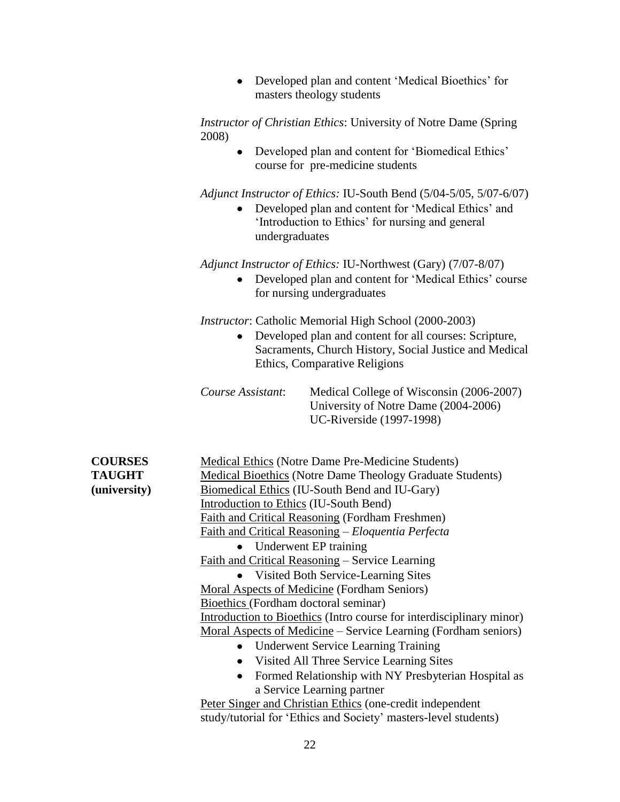| Developed plan and content 'Medical Bioethics' for |
|----------------------------------------------------|
| masters theology students                          |

*Instructor of Christian Ethics*: University of Notre Dame (Spring 2008)

> Developed plan and content for 'Biomedical Ethics' course for pre-medicine students

*Adjunct Instructor of Ethics:* IU-South Bend (5/04-5/05, 5/07-6/07)

 Developed plan and content for 'Medical Ethics' and 'Introduction to Ethics' for nursing and general undergraduates

*Adjunct Instructor of Ethics:* IU-Northwest (Gary) (7/07-8/07)

 Developed plan and content for 'Medical Ethics' course for nursing undergraduates

*Instructor*: Catholic Memorial High School (2000-2003)

 Developed plan and content for all courses: Scripture, Sacraments, Church History, Social Justice and Medical Ethics, Comparative Religions

| Course Assistant: | Medical College of Wisconsin (2006-2007) |
|-------------------|------------------------------------------|
|                   | University of Notre Dame (2004-2006)     |
|                   | UC-Riverside (1997-1998)                 |

| <b>COURSES</b> | Medical Ethics (Notre Dame Pre-Medicine Students)                    |
|----------------|----------------------------------------------------------------------|
| <b>TAUGHT</b>  | Medical Bioethics (Notre Dame Theology Graduate Students)            |
| (university)   | Biomedical Ethics (IU-South Bend and IU-Gary)                        |
|                | Introduction to Ethics (IU-South Bend)                               |
|                | Faith and Critical Reasoning (Fordham Freshmen)                      |
|                | <u>Faith and Critical Reasoning</u> – Eloquentia Perfecta            |
|                | $\bullet$ Underwent EP training                                      |
|                | Faith and Critical Reasoning – Service Learning                      |
|                | • Visited Both Service-Learning Sites                                |
|                | Moral Aspects of Medicine (Fordham Seniors)                          |
|                | Bioethics (Fordham doctoral seminar)                                 |
|                | Introduction to Bioethics (Intro course for interdisciplinary minor) |
|                | Moral Aspects of Medicine – Service Learning (Fordham seniors)       |
|                | • Underwent Service Learning Training                                |
|                | Visited All Three Service Learning Sites<br>٠                        |
|                | Formed Relationship with NY Presbyterian Hospital as                 |
|                | a Service Learning partner                                           |
|                | Peter Singer and Christian Ethics (one-credit independent            |
|                | study/tutorial for 'Ethics and Society' masters-level students)      |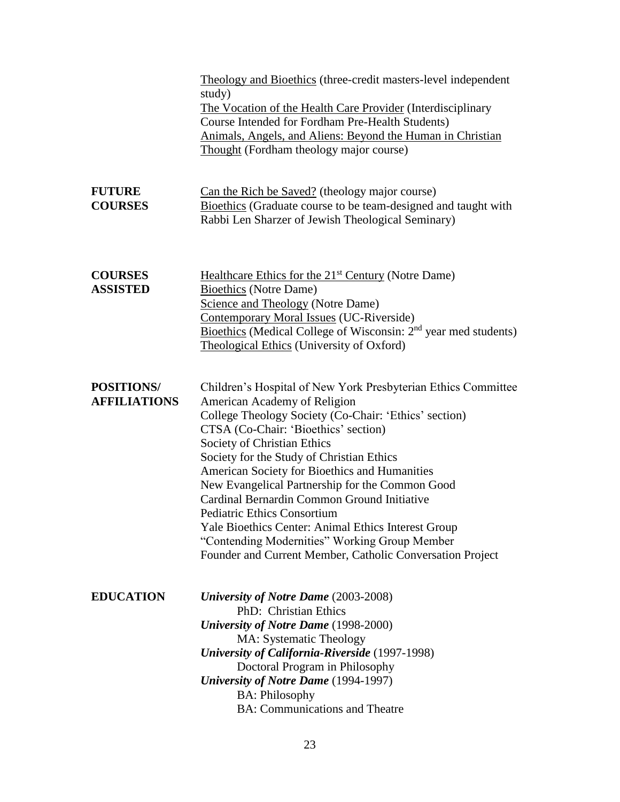|                                          | Theology and Bioethics (three-credit masters-level independent<br>study)<br>The Vocation of the Health Care Provider (Interdisciplinary<br>Course Intended for Fordham Pre-Health Students)<br>Animals, Angels, and Aliens: Beyond the Human in Christian<br>Thought (Fordham theology major course)                                                                                                                                                                                                                                                                                                                                     |
|------------------------------------------|------------------------------------------------------------------------------------------------------------------------------------------------------------------------------------------------------------------------------------------------------------------------------------------------------------------------------------------------------------------------------------------------------------------------------------------------------------------------------------------------------------------------------------------------------------------------------------------------------------------------------------------|
| <b>FUTURE</b><br><b>COURSES</b>          | Can the Rich be Saved? (theology major course)<br>Bioethics (Graduate course to be team-designed and taught with<br>Rabbi Len Sharzer of Jewish Theological Seminary)                                                                                                                                                                                                                                                                                                                                                                                                                                                                    |
| <b>COURSES</b><br><b>ASSISTED</b>        | Healthcare Ethics for the 21 <sup>st</sup> Century (Notre Dame)<br><b>Bioethics</b> (Notre Dame)<br><b>Science and Theology (Notre Dame)</b><br>Contemporary Moral Issues (UC-Riverside)<br>Bioethics (Medical College of Wisconsin: 2 <sup>nd</sup> year med students)<br>Theological Ethics (University of Oxford)                                                                                                                                                                                                                                                                                                                     |
| <b>POSITIONS/</b><br><b>AFFILIATIONS</b> | Children's Hospital of New York Presbyterian Ethics Committee<br>American Academy of Religion<br>College Theology Society (Co-Chair: 'Ethics' section)<br>CTSA (Co-Chair: 'Bioethics' section)<br>Society of Christian Ethics<br>Society for the Study of Christian Ethics<br>American Society for Bioethics and Humanities<br>New Evangelical Partnership for the Common Good<br>Cardinal Bernardin Common Ground Initiative<br><b>Pediatric Ethics Consortium</b><br>Yale Bioethics Center: Animal Ethics Interest Group<br>"Contending Modernities" Working Group Member<br>Founder and Current Member, Catholic Conversation Project |
| <b>EDUCATION</b>                         | <b>University of Notre Dame</b> (2003-2008)<br>PhD: Christian Ethics<br><b>University of Notre Dame</b> (1998-2000)<br>MA: Systematic Theology<br><b>University of California-Riverside</b> (1997-1998)<br>Doctoral Program in Philosophy<br><b>University of Notre Dame</b> (1994-1997)<br><b>BA: Philosophy</b><br><b>BA:</b> Communications and Theatre                                                                                                                                                                                                                                                                               |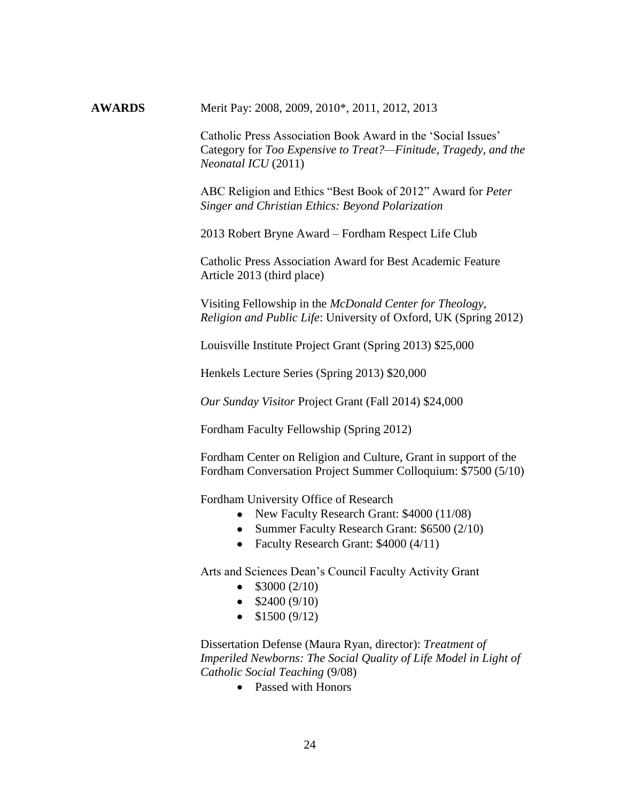**AWARDS** Merit Pay: 2008, 2009, 2010\*, 2011, 2012, 2013

Catholic Press Association Book Award in the 'Social Issues' Category for *Too Expensive to Treat?—Finitude, Tragedy, and the Neonatal ICU* (2011)

ABC Religion and Ethics "Best Book of 2012" Award for *Peter Singer and Christian Ethics: Beyond Polarization*

2013 Robert Bryne Award – Fordham Respect Life Club

Catholic Press Association Award for Best Academic Feature Article 2013 (third place)

Visiting Fellowship in the *McDonald Center for Theology, Religion and Public Life*: University of Oxford, UK (Spring 2012)

Louisville Institute Project Grant (Spring 2013) \$25,000

Henkels Lecture Series (Spring 2013) \$20,000

*Our Sunday Visitor* Project Grant (Fall 2014) \$24,000

Fordham Faculty Fellowship (Spring 2012)

Fordham Center on Religion and Culture, Grant in support of the Fordham Conversation Project Summer Colloquium: \$7500 (5/10)

Fordham University Office of Research

- New Faculty Research Grant: \$4000 (11/08)
- Summer Faculty Research Grant: \$6500 (2/10)
- Faculty Research Grant: \$4000 (4/11)

Arts and Sciences Dean's Council Faculty Activity Grant

- $\bullet$  \$3000 (2/10)
- $\bullet$  \$2400 (9/10)
- $\bullet$  \$1500 (9/12)

Dissertation Defense (Maura Ryan, director): *Treatment of Imperiled Newborns: The Social Quality of Life Model in Light of Catholic Social Teaching* (9/08)

• Passed with Honors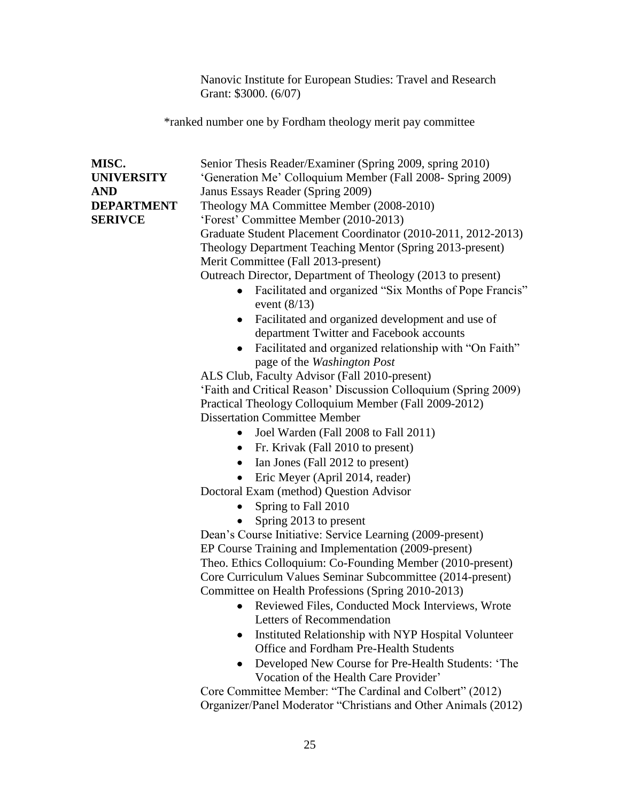Nanovic Institute for European Studies: Travel and Research Grant: \$3000. (6/07)

\*ranked number one by Fordham theology merit pay committee

| MISC.<br><b>UNIVERSITY</b><br><b>AND</b><br><b>DEPARTMENT</b><br><b>SERIVCE</b> | Senior Thesis Reader/Examiner (Spring 2009, spring 2010)<br>'Generation Me' Colloquium Member (Fall 2008- Spring 2009)<br>Janus Essays Reader (Spring 2009)<br>Theology MA Committee Member (2008-2010)<br>'Forest' Committee Member (2010-2013)<br>Graduate Student Placement Coordinator (2010-2011, 2012-2013)<br>Theology Department Teaching Mentor (Spring 2013-present)<br>Merit Committee (Fall 2013-present)<br>Outreach Director, Department of Theology (2013 to present)<br>Facilitated and organized "Six Months of Pope Francis"<br>$\bullet$<br>event $(8/13)$<br>Facilitated and organized development and use of<br>٠<br>department Twitter and Facebook accounts<br>Facilitated and organized relationship with "On Faith"<br>$\bullet$<br>page of the Washington Post<br>ALS Club, Faculty Advisor (Fall 2010-present)<br>'Faith and Critical Reason' Discussion Colloquium (Spring 2009)<br>Practical Theology Colloquium Member (Fall 2009-2012)<br><b>Dissertation Committee Member</b><br>Joel Warden (Fall 2008 to Fall 2011)<br>$\bullet$<br>Fr. Krivak (Fall 2010 to present)<br>$\bullet$<br>Ian Jones (Fall 2012 to present)<br>$\bullet$<br>Eric Meyer (April 2014, reader)<br>Doctoral Exam (method) Question Advisor<br>Spring to Fall 2010<br>$\bullet$<br>Spring 2013 to present<br>Dean's Course Initiative: Service Learning (2009-present)<br>EP Course Training and Implementation (2009-present) |
|---------------------------------------------------------------------------------|----------------------------------------------------------------------------------------------------------------------------------------------------------------------------------------------------------------------------------------------------------------------------------------------------------------------------------------------------------------------------------------------------------------------------------------------------------------------------------------------------------------------------------------------------------------------------------------------------------------------------------------------------------------------------------------------------------------------------------------------------------------------------------------------------------------------------------------------------------------------------------------------------------------------------------------------------------------------------------------------------------------------------------------------------------------------------------------------------------------------------------------------------------------------------------------------------------------------------------------------------------------------------------------------------------------------------------------------------------------------------------------------------------------------------------------|
|                                                                                 |                                                                                                                                                                                                                                                                                                                                                                                                                                                                                                                                                                                                                                                                                                                                                                                                                                                                                                                                                                                                                                                                                                                                                                                                                                                                                                                                                                                                                                        |
|                                                                                 | Theo. Ethics Colloquium: Co-Founding Member (2010-present)<br>Core Curriculum Values Seminar Subcommittee (2014-present)<br>Committee on Health Professions (Spring 2010-2013)<br>• Reviewed Files, Conducted Mock Interviews, Wrote<br>Letters of Recommendation<br>Instituted Relationship with NYP Hospital Volunteer<br>٠<br><b>Office and Fordham Pre-Health Students</b><br>Developed New Course for Pre-Health Students: 'The<br>$\bullet$<br>Vocation of the Health Care Provider'                                                                                                                                                                                                                                                                                                                                                                                                                                                                                                                                                                                                                                                                                                                                                                                                                                                                                                                                             |
|                                                                                 | Core Committee Member: "The Cardinal and Colbert" (2012)<br>Organizer/Panel Moderator "Christians and Other Animals (2012)                                                                                                                                                                                                                                                                                                                                                                                                                                                                                                                                                                                                                                                                                                                                                                                                                                                                                                                                                                                                                                                                                                                                                                                                                                                                                                             |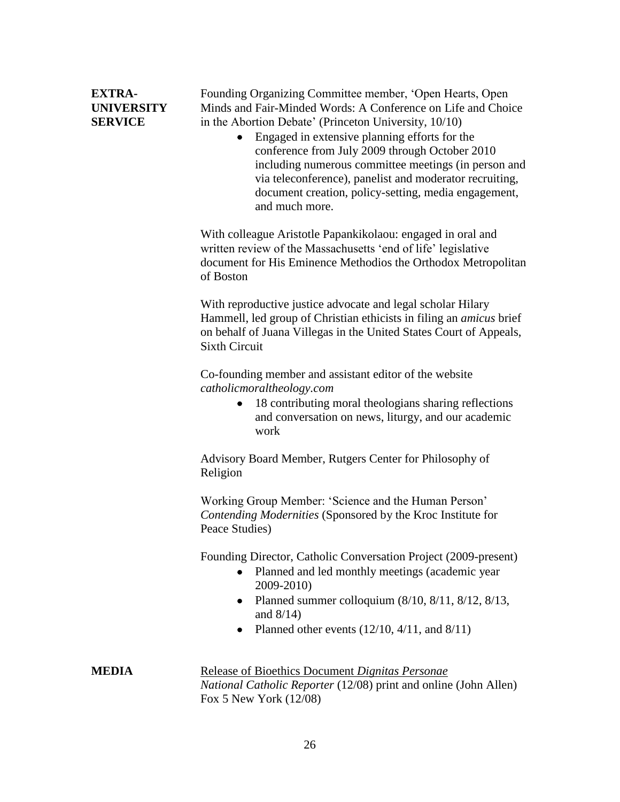| <b>EXTRA-</b>     |  |
|-------------------|--|
| <b>UNIVERSITY</b> |  |
| <b>SERVICE</b>    |  |

Founding Organizing Committee member, 'Open Hearts, Open Minds and Fair-Minded Words: A Conference on Life and Choice in the Abortion Debate' (Princeton University, 10/10)

 Engaged in extensive planning efforts for the conference from July 2009 through October 2010 including numerous committee meetings (in person and via teleconference), panelist and moderator recruiting, document creation, policy-setting, media engagement, and much more.

With colleague Aristotle Papankikolaou: engaged in oral and written review of the Massachusetts 'end of life' legislative document for His Eminence Methodios the Orthodox Metropolitan of Boston

With reproductive justice advocate and legal scholar Hilary Hammell, led group of Christian ethicists in filing an *amicus* brief on behalf of Juana Villegas in the United States Court of Appeals, Sixth Circuit

Co-founding member and assistant editor of the website *catholicmoraltheology.com*

> • 18 contributing moral theologians sharing reflections and conversation on news, liturgy, and our academic work

Advisory Board Member, Rutgers Center for Philosophy of Religion

Working Group Member: 'Science and the Human Person' *Contending Modernities* (Sponsored by the Kroc Institute for Peace Studies)

Founding Director, Catholic Conversation Project (2009-present)

- Planned and led monthly meetings (academic year 2009-2010)
- Planned summer colloquium (8/10, 8/11, 8/12, 8/13, and 8/14)
- Planned other events  $(12/10, 4/11,$  and  $8/11)$

**MEDIA** Release of Bioethics Document *Dignitas Personae National Catholic Reporter* (12/08) print and online (John Allen) Fox 5 New York (12/08)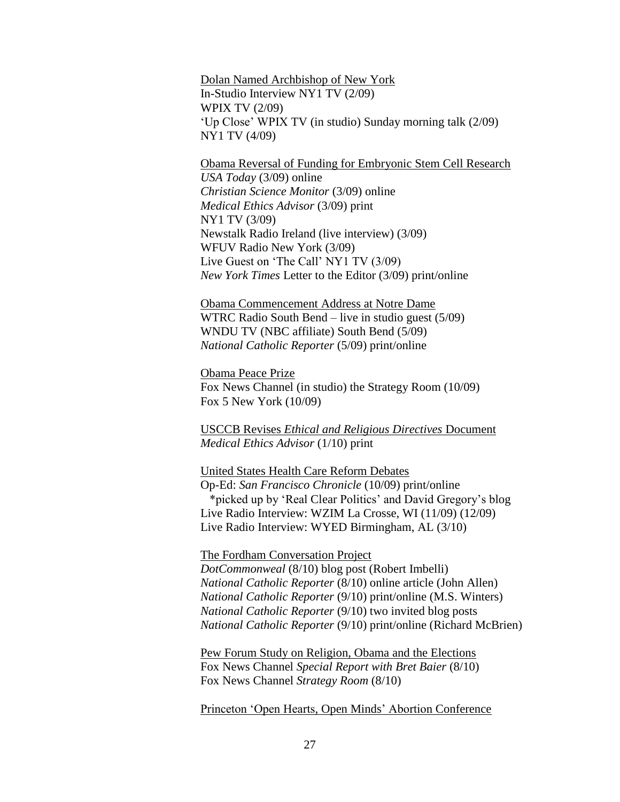Dolan Named Archbishop of New York In-Studio Interview NY1 TV (2/09) WPIX TV (2/09) 'Up Close' WPIX TV (in studio) Sunday morning talk (2/09) NY1 TV (4/09)

Obama Reversal of Funding for Embryonic Stem Cell Research *USA Today* (3/09) online *Christian Science Monitor* (3/09) online *Medical Ethics Advisor* (3/09) print NY1 TV (3/09) Newstalk Radio Ireland (live interview) (3/09) WFUV Radio New York (3/09) Live Guest on 'The Call' NY1 TV (3/09) *New York Times* Letter to the Editor (3/09) print/online

Obama Commencement Address at Notre Dame WTRC Radio South Bend – live in studio guest (5/09) WNDU TV (NBC affiliate) South Bend (5/09) *National Catholic Reporter* (5/09) print/online

Obama Peace Prize Fox News Channel (in studio) the Strategy Room (10/09) Fox 5 New York (10/09)

USCCB Revises *Ethical and Religious Directives* Document *Medical Ethics Advisor* (1/10) print

United States Health Care Reform Debates Op-Ed: *San Francisco Chronicle* (10/09) print/online \*picked up by 'Real Clear Politics' and David Gregory's blog Live Radio Interview: WZIM La Crosse, WI (11/09) (12/09) Live Radio Interview: WYED Birmingham, AL (3/10)

The Fordham Conversation Project

*DotCommonweal* (8/10) blog post (Robert Imbelli) *National Catholic Reporter* (8/10) online article (John Allen) *National Catholic Reporter* (9/10) print/online (M.S. Winters) *National Catholic Reporter* (9/10) two invited blog posts *National Catholic Reporter* (9/10) print/online (Richard McBrien)

Pew Forum Study on Religion, Obama and the Elections Fox News Channel *Special Report with Bret Baier* (8/10) Fox News Channel *Strategy Room* (8/10)

Princeton 'Open Hearts, Open Minds' Abortion Conference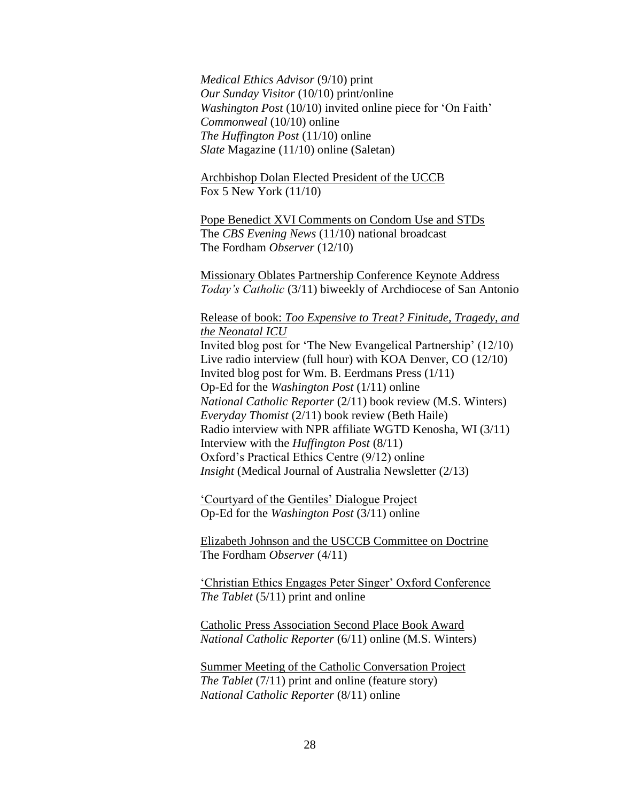*Medical Ethics Advisor* (9/10) print *Our Sunday Visitor* (10/10) print/online *Washington Post* (10/10) invited online piece for 'On Faith' *Commonweal* (10/10) online *The Huffington Post* (11/10) online *Slate* Magazine (11/10) online (Saletan)

Archbishop Dolan Elected President of the UCCB Fox 5 New York (11/10)

Pope Benedict XVI Comments on Condom Use and STDs The *CBS Evening News* (11/10) national broadcast The Fordham *Observer* (12/10)

Missionary Oblates Partnership Conference Keynote Address *Today's Catholic* (3/11) biweekly of Archdiocese of San Antonio

Release of book: *Too Expensive to Treat? Finitude, Tragedy, and the Neonatal ICU*

Invited blog post for 'The New Evangelical Partnership' (12/10) Live radio interview (full hour) with KOA Denver, CO (12/10) Invited blog post for Wm. B. Eerdmans Press (1/11) Op-Ed for the *Washington Post* (1/11) online *National Catholic Reporter* (2/11) book review (M.S. Winters) *Everyday Thomist* (2/11) book review (Beth Haile) Radio interview with NPR affiliate WGTD Kenosha, WI (3/11) Interview with the *Huffington Post* (8/11) Oxford's Practical Ethics Centre (9/12) online *Insight* (Medical Journal of Australia Newsletter (2/13)

'Courtyard of the Gentiles' Dialogue Project Op-Ed for the *Washington Post* (3/11) online

Elizabeth Johnson and the USCCB Committee on Doctrine The Fordham *Observer* (4/11)

'Christian Ethics Engages Peter Singer' Oxford Conference *The Tablet* (5/11) print and online

Catholic Press Association Second Place Book Award *National Catholic Reporter* (6/11) online (M.S. Winters)

Summer Meeting of the Catholic Conversation Project *The Tablet* (7/11) print and online (feature story) *National Catholic Reporter* (8/11) online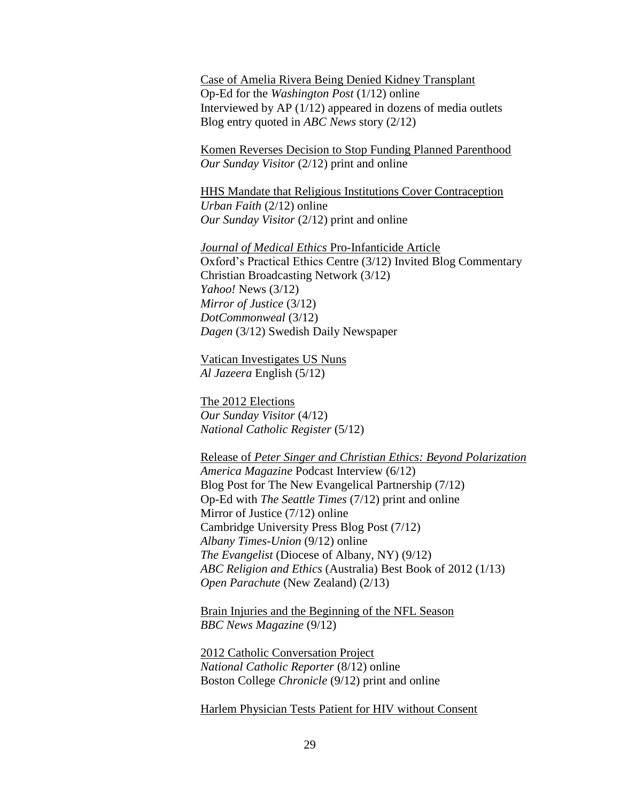Case of Amelia Rivera Being Denied Kidney Transplant Op-Ed for the *Washington Post* (1/12) online Interviewed by AP (1/12) appeared in dozens of media outlets Blog entry quoted in *ABC News* story (2/12)

Komen Reverses Decision to Stop Funding Planned Parenthood *Our Sunday Visitor* (2/12) print and online

HHS Mandate that Religious Institutions Cover Contraception *Urban Faith* (2/12) online *Our Sunday Visitor* (2/12) print and online

*Journal of Medical Ethics* Pro-Infanticide Article Oxford's Practical Ethics Centre (3/12) Invited Blog Commentary Christian Broadcasting Network (3/12) *Yahoo!* News (3/12) *Mirror of Justice* (3/12) *DotCommonweal* (3/12) *Dagen* (3/12) Swedish Daily Newspaper

Vatican Investigates US Nuns *Al Jazeera* English (5/12)

The 2012 Elections *Our Sunday Visitor* (4/12) *National Catholic Register* (5/12)

Release of *Peter Singer and Christian Ethics: Beyond Polarization America Magazine* Podcast Interview (6/12) Blog Post for The New Evangelical Partnership (7/12) Op-Ed with *The Seattle Times* (7/12) print and online Mirror of Justice (7/12) online Cambridge University Press Blog Post (7/12) *Albany Times-Union* (9/12) online *The Evangelist* (Diocese of Albany, NY) (9/12) *ABC Religion and Ethics* (Australia) Best Book of 2012 (1/13) *Open Parachute* (New Zealand) (2/13)

Brain Injuries and the Beginning of the NFL Season *BBC News Magazine* (9/12)

2012 Catholic Conversation Project *National Catholic Reporter* (8/12) online Boston College *Chronicle* (9/12) print and online

Harlem Physician Tests Patient for HIV without Consent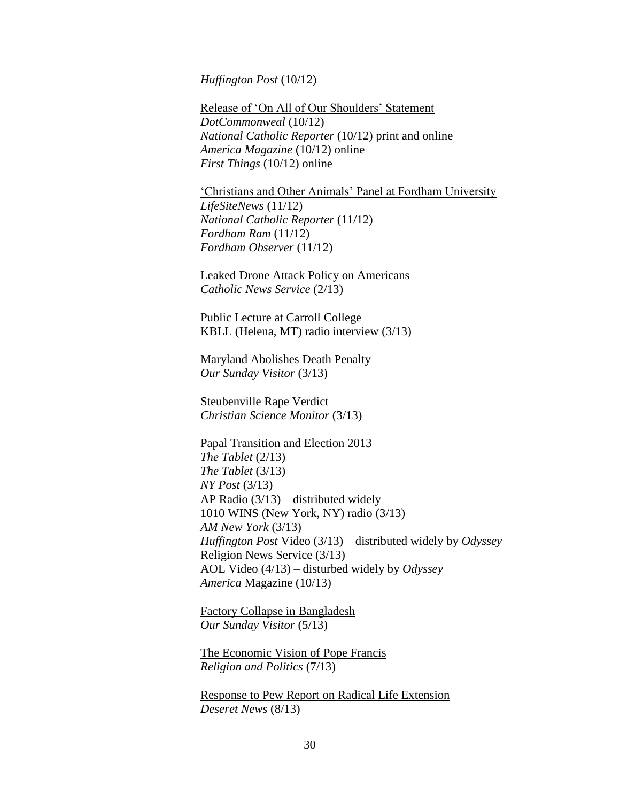*Huffington Post* (10/12)

Release of 'On All of Our Shoulders' Statement *DotCommonweal* (10/12) *National Catholic Reporter* (10/12) print and online *America Magazine* (10/12) online *First Things* (10/12) online

'Christians and Other Animals' Panel at Fordham University *LifeSiteNews* (11/12) *National Catholic Reporter* (11/12) *Fordham Ram* (11/12) *Fordham Observer* (11/12)

Leaked Drone Attack Policy on Americans *Catholic News Service* (2/13)

Public Lecture at Carroll College KBLL (Helena, MT) radio interview (3/13)

Maryland Abolishes Death Penalty *Our Sunday Visitor* (3/13)

Steubenville Rape Verdict *Christian Science Monitor* (3/13)

Papal Transition and Election 2013 *The Tablet* (2/13) *The Tablet* (3/13) *NY Post* (3/13) AP Radio (3/13) – distributed widely 1010 WINS (New York, NY) radio (3/13) *AM New York* (3/13) *Huffington Post* Video (3/13) – distributed widely by *Odyssey* Religion News Service (3/13) AOL Video (4/13) – disturbed widely by *Odyssey America* Magazine (10/13)

Factory Collapse in Bangladesh *Our Sunday Visitor* (5/13)

The Economic Vision of Pope Francis *Religion and Politics* (7/13)

Response to Pew Report on Radical Life Extension *Deseret News* (8/13)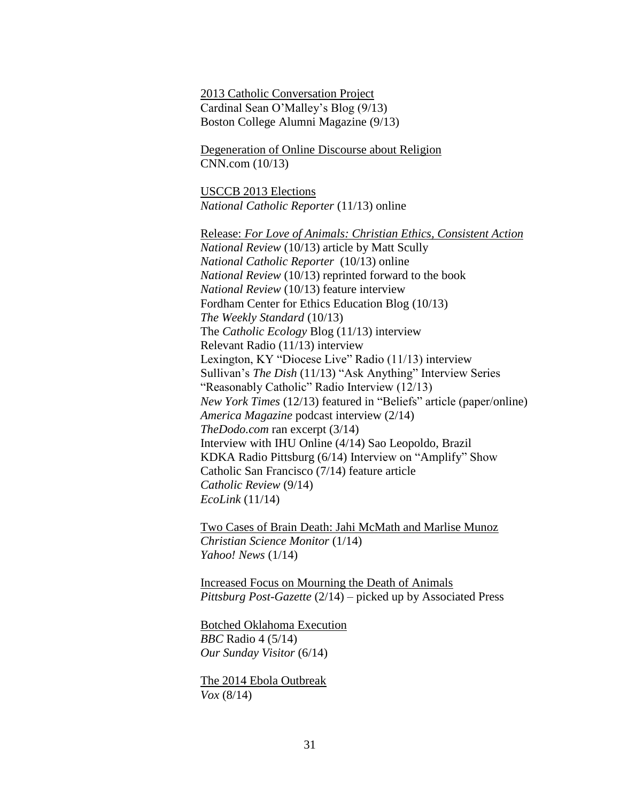2013 Catholic Conversation Project Cardinal Sean O'Malley's Blog (9/13) Boston College Alumni Magazine (9/13)

Degeneration of Online Discourse about Religion CNN.com (10/13)

USCCB 2013 Elections *National Catholic Reporter* (11/13) online

Release: *For Love of Animals: Christian Ethics, Consistent Action National Review* (10/13) article by Matt Scully *National Catholic Reporter* (10/13) online *National Review* (10/13) reprinted forward to the book *National Review* (10/13) feature interview Fordham Center for Ethics Education Blog (10/13) *The Weekly Standard* (10/13) The *Catholic Ecology* Blog (11/13) interview Relevant Radio (11/13) interview Lexington, KY "Diocese Live" Radio (11/13) interview Sullivan's *The Dish* (11/13) "Ask Anything" Interview Series "Reasonably Catholic" Radio Interview (12/13) *New York Times* (12/13) featured in "Beliefs" article (paper/online) *America Magazine* podcast interview (2/14) *TheDodo.com* ran excerpt (3/14) Interview with IHU Online (4/14) Sao Leopoldo, Brazil KDKA Radio Pittsburg (6/14) Interview on "Amplify" Show Catholic San Francisco (7/14) feature article *Catholic Review* (9/14) *EcoLink* (11/14)

Two Cases of Brain Death: Jahi McMath and Marlise Munoz *Christian Science Monitor* (1/14) *Yahoo! News* (1/14)

Increased Focus on Mourning the Death of Animals *Pittsburg Post-Gazette* (2/14) – picked up by Associated Press

Botched Oklahoma Execution *BBC* Radio 4 (5/14) *Our Sunday Visitor* (6/14)

The 2014 Ebola Outbreak *Vox* (8/14)